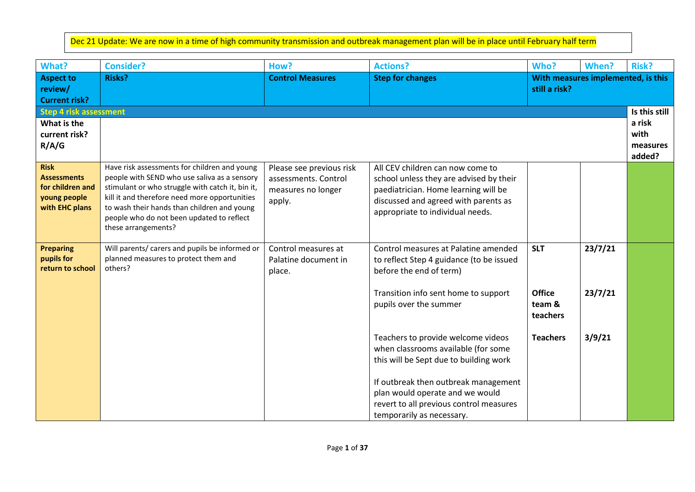Dec 21 Update: We are now in a time of high community transmission and outbreak management plan will be in place until February half term

| <b>Aspect to</b><br><b>Risks?</b><br><b>Control Measures</b><br><b>Step for changes</b><br>With measures implemented, is this<br>review/<br>still a risk?<br><b>Current risk?</b><br><b>Step 4 risk assessment</b><br>What is the<br>current risk?<br>R/A/G<br>Have risk assessments for children and young<br><b>Risk</b><br>All CEV children can now come to<br>Please see previous risk<br><b>Assessments</b><br>people with SEND who use saliva as a sensory<br>assessments. Control<br>school unless they are advised by their<br>for children and<br>stimulant or who struggle with catch it, bin it,<br>paediatrician. Home learning will be<br>measures no longer |                                      |
|---------------------------------------------------------------------------------------------------------------------------------------------------------------------------------------------------------------------------------------------------------------------------------------------------------------------------------------------------------------------------------------------------------------------------------------------------------------------------------------------------------------------------------------------------------------------------------------------------------------------------------------------------------------------------|--------------------------------------|
|                                                                                                                                                                                                                                                                                                                                                                                                                                                                                                                                                                                                                                                                           |                                      |
|                                                                                                                                                                                                                                                                                                                                                                                                                                                                                                                                                                                                                                                                           | Is this still                        |
|                                                                                                                                                                                                                                                                                                                                                                                                                                                                                                                                                                                                                                                                           | a risk<br>with<br>measures<br>added? |
| kill it and therefore need more opportunities<br>young people<br>discussed and agreed with parents as<br>apply.<br>with EHC plans<br>to wash their hands than children and young<br>appropriate to individual needs.<br>people who do not been updated to reflect<br>these arrangements?                                                                                                                                                                                                                                                                                                                                                                                  |                                      |
| 23/7/21<br>Will parents/ carers and pupils be informed or<br>Control measures at Palatine amended<br><b>SLT</b><br><b>Preparing</b><br>Control measures at<br>pupils for<br>planned measures to protect them and<br>Palatine document in<br>to reflect Step 4 guidance (to be issued<br>return to school<br>others?<br>before the end of term)<br>place.                                                                                                                                                                                                                                                                                                                  |                                      |
| 23/7/21<br><b>Office</b><br>Transition info sent home to support<br>team &<br>pupils over the summer<br>teachers                                                                                                                                                                                                                                                                                                                                                                                                                                                                                                                                                          |                                      |
| 3/9/21<br>Teachers to provide welcome videos<br><b>Teachers</b><br>when classrooms available (for some<br>this will be Sept due to building work<br>If outbreak then outbreak management<br>plan would operate and we would<br>revert to all previous control measures                                                                                                                                                                                                                                                                                                                                                                                                    |                                      |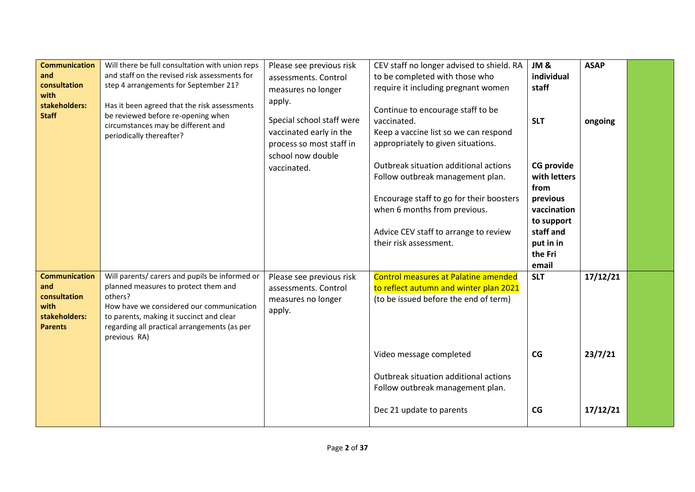| <b>Communication</b><br>and<br>consultation<br>with<br>stakeholders:<br><b>Staff</b>   | Will there be full consultation with union reps<br>and staff on the revised risk assessments for<br>step 4 arrangements for September 21?<br>Has it been agreed that the risk assessments<br>be reviewed before re-opening when<br>circumstances may be different and<br>periodically thereafter? | Please see previous risk<br>assessments. Control<br>measures no longer<br>apply.<br>Special school staff were<br>vaccinated early in the<br>process so most staff in<br>school now double | CEV staff no longer advised to shield. RA<br>to be completed with those who<br>require it including pregnant women<br>Continue to encourage staff to be<br>vaccinated.<br>Keep a vaccine list so we can respond<br>appropriately to given situations.              | JM&<br>individual<br>staff<br><b>SLT</b>                                                                                         | <b>ASAP</b><br>ongoing          |  |
|----------------------------------------------------------------------------------------|---------------------------------------------------------------------------------------------------------------------------------------------------------------------------------------------------------------------------------------------------------------------------------------------------|-------------------------------------------------------------------------------------------------------------------------------------------------------------------------------------------|--------------------------------------------------------------------------------------------------------------------------------------------------------------------------------------------------------------------------------------------------------------------|----------------------------------------------------------------------------------------------------------------------------------|---------------------------------|--|
|                                                                                        |                                                                                                                                                                                                                                                                                                   | vaccinated.                                                                                                                                                                               | Outbreak situation additional actions<br>Follow outbreak management plan.<br>Encourage staff to go for their boosters<br>when 6 months from previous.<br>Advice CEV staff to arrange to review<br>their risk assessment.                                           | <b>CG provide</b><br>with letters<br>from<br>previous<br>vaccination<br>to support<br>staff and<br>put in in<br>the Fri<br>email |                                 |  |
| <b>Communication</b><br>and<br>consultation<br>with<br>stakeholders:<br><b>Parents</b> | Will parents/ carers and pupils be informed or<br>planned measures to protect them and<br>others?<br>How have we considered our communication<br>to parents, making it succinct and clear<br>regarding all practical arrangements (as per<br>previous RA)                                         | Please see previous risk<br>assessments. Control<br>measures no longer<br>apply.                                                                                                          | <b>Control measures at Palatine amended</b><br>to reflect autumn and winter plan 2021<br>(to be issued before the end of term)<br>Video message completed<br>Outbreak situation additional actions<br>Follow outbreak management plan.<br>Dec 21 update to parents | <b>SLT</b><br>CG<br>CG                                                                                                           | 17/12/21<br>23/7/21<br>17/12/21 |  |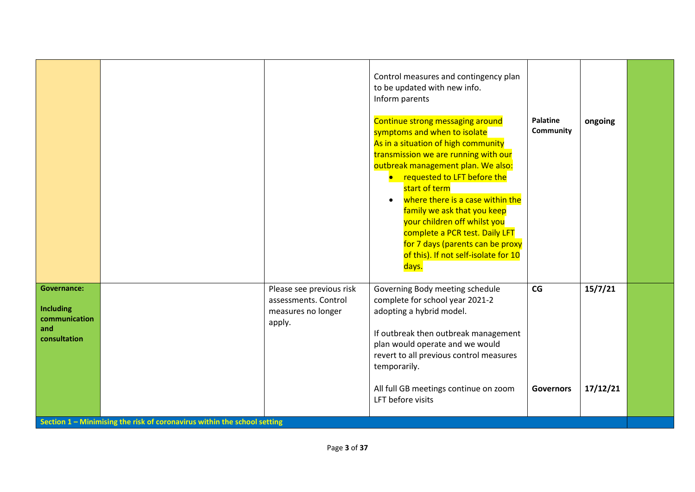|                                                                         |                                                                          |                                                                                  | Control measures and contingency plan<br>to be updated with new info.<br>Inform parents<br>Continue strong messaging around<br>symptoms and when to isolate<br>As in a situation of high community<br>transmission we are running with our<br>outbreak management plan. We also:<br>requested to LFT before the<br>start of term<br>where there is a case within the<br>$\bullet$<br>family we ask that you keep<br>your children off whilst you<br>complete a PCR test. Daily LFT<br>for 7 days (parents can be proxy<br>of this). If not self-isolate for 10<br>days. | <b>Palatine</b><br>Community | ongoing             |  |
|-------------------------------------------------------------------------|--------------------------------------------------------------------------|----------------------------------------------------------------------------------|-------------------------------------------------------------------------------------------------------------------------------------------------------------------------------------------------------------------------------------------------------------------------------------------------------------------------------------------------------------------------------------------------------------------------------------------------------------------------------------------------------------------------------------------------------------------------|------------------------------|---------------------|--|
| <b>Governance:</b><br>Including<br>communication<br>and<br>consultation |                                                                          | Please see previous risk<br>assessments. Control<br>measures no longer<br>apply. | Governing Body meeting schedule<br>complete for school year 2021-2<br>adopting a hybrid model.<br>If outbreak then outbreak management<br>plan would operate and we would<br>revert to all previous control measures<br>temporarily.<br>All full GB meetings continue on zoom<br>LFT before visits                                                                                                                                                                                                                                                                      | CG<br><b>Governors</b>       | 15/7/21<br>17/12/21 |  |
|                                                                         | Section 1 - Minimising the risk of coronavirus within the school setting |                                                                                  |                                                                                                                                                                                                                                                                                                                                                                                                                                                                                                                                                                         |                              |                     |  |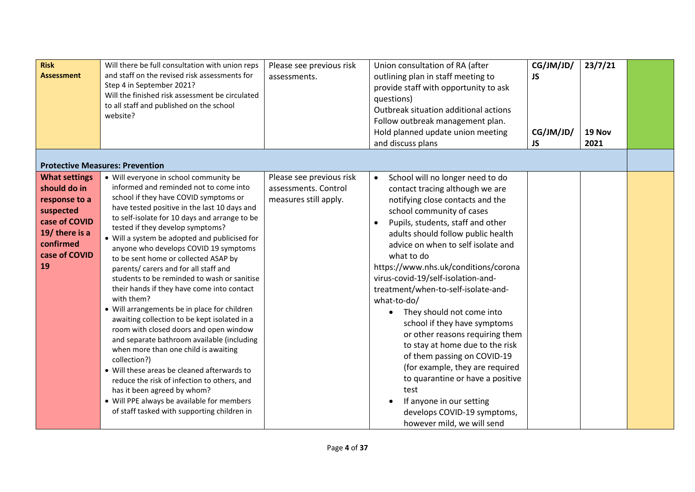| <b>Risk</b><br><b>Assessment</b>                                                                                                          | Will there be full consultation with union reps<br>and staff on the revised risk assessments for<br>Step 4 in September 2021?<br>Will the finished risk assessment be circulated<br>to all staff and published on the school<br>website?<br><b>Protective Measures: Prevention</b>                                                                                                                                                                                                                                                                                                                                                                                                                                                                                                                                                                                                                                                                                                                                             | Please see previous risk<br>assessments.                                  | Union consultation of RA (after<br>outlining plan in staff meeting to<br>provide staff with opportunity to ask<br>questions)<br>Outbreak situation additional actions<br>Follow outbreak management plan.<br>Hold planned update union meeting<br>and discuss plans                                                                                                                                                                                                                                                                                                                                                                                                                                                                                                         | CG/JM/JD/<br><b>JS</b><br>CG/JM/JD/<br><b>JS</b> | 23/7/21<br>19 Nov<br>2021 |  |
|-------------------------------------------------------------------------------------------------------------------------------------------|--------------------------------------------------------------------------------------------------------------------------------------------------------------------------------------------------------------------------------------------------------------------------------------------------------------------------------------------------------------------------------------------------------------------------------------------------------------------------------------------------------------------------------------------------------------------------------------------------------------------------------------------------------------------------------------------------------------------------------------------------------------------------------------------------------------------------------------------------------------------------------------------------------------------------------------------------------------------------------------------------------------------------------|---------------------------------------------------------------------------|-----------------------------------------------------------------------------------------------------------------------------------------------------------------------------------------------------------------------------------------------------------------------------------------------------------------------------------------------------------------------------------------------------------------------------------------------------------------------------------------------------------------------------------------------------------------------------------------------------------------------------------------------------------------------------------------------------------------------------------------------------------------------------|--------------------------------------------------|---------------------------|--|
| <b>What settings</b><br>should do in<br>response to a<br>suspected<br>case of COVID<br>19/ there is a<br>confirmed<br>case of COVID<br>19 | • Will everyone in school community be<br>informed and reminded not to come into<br>school if they have COVID symptoms or<br>have tested positive in the last 10 days and<br>to self-isolate for 10 days and arrange to be<br>tested if they develop symptoms?<br>• Will a system be adopted and publicised for<br>anyone who develops COVID 19 symptoms<br>to be sent home or collected ASAP by<br>parents/ carers and for all staff and<br>students to be reminded to wash or sanitise<br>their hands if they have come into contact<br>with them?<br>• Will arrangements be in place for children<br>awaiting collection to be kept isolated in a<br>room with closed doors and open window<br>and separate bathroom available (including<br>when more than one child is awaiting<br>collection?)<br>• Will these areas be cleaned afterwards to<br>reduce the risk of infection to others, and<br>has it been agreed by whom?<br>• Will PPE always be available for members<br>of staff tasked with supporting children in | Please see previous risk<br>assessments. Control<br>measures still apply. | School will no longer need to do<br>$\bullet$<br>contact tracing although we are<br>notifying close contacts and the<br>school community of cases<br>Pupils, students, staff and other<br>adults should follow public health<br>advice on when to self isolate and<br>what to do<br>https://www.nhs.uk/conditions/corona<br>virus-covid-19/self-isolation-and-<br>treatment/when-to-self-isolate-and-<br>what-to-do/<br>They should not come into<br>$\bullet$<br>school if they have symptoms<br>or other reasons requiring them<br>to stay at home due to the risk<br>of them passing on COVID-19<br>(for example, they are required<br>to quarantine or have a positive<br>test<br>If anyone in our setting<br>develops COVID-19 symptoms,<br>however mild, we will send |                                                  |                           |  |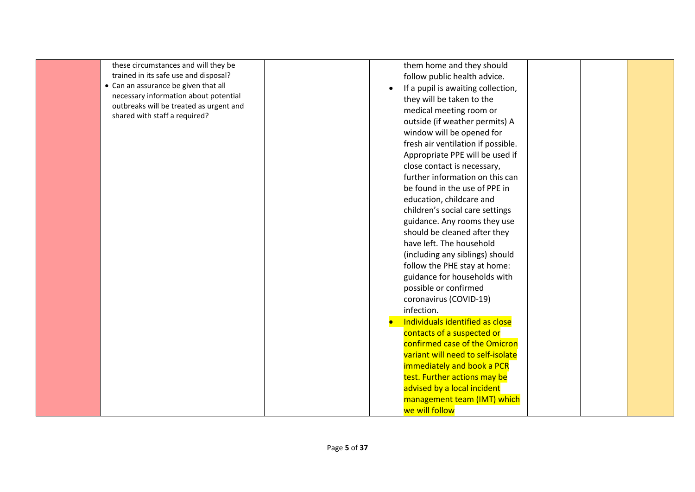| these circumstances and will they be    | them home and they should              |
|-----------------------------------------|----------------------------------------|
| trained in its safe use and disposal?   | follow public health advice.           |
| • Can an assurance be given that all    | If a pupil is awaiting collection,     |
| necessary information about potential   | $\bullet$<br>they will be taken to the |
| outbreaks will be treated as urgent and |                                        |
| shared with staff a required?           | medical meeting room or                |
|                                         | outside (if weather permits) A         |
|                                         | window will be opened for              |
|                                         | fresh air ventilation if possible.     |
|                                         | Appropriate PPE will be used if        |
|                                         | close contact is necessary,            |
|                                         | further information on this can        |
|                                         | be found in the use of PPE in          |
|                                         | education, childcare and               |
|                                         | children's social care settings        |
|                                         | guidance. Any rooms they use           |
|                                         | should be cleaned after they           |
|                                         | have left. The household               |
|                                         | (including any siblings) should        |
|                                         | follow the PHE stay at home:           |
|                                         | guidance for households with           |
|                                         | possible or confirmed                  |
|                                         | coronavirus (COVID-19)                 |
|                                         | infection.                             |
|                                         | Individuals identified as close        |
|                                         | contacts of a suspected or             |
|                                         | confirmed case of the Omicron          |
|                                         | variant will need to self-isolate      |
|                                         | immediately and book a PCR             |
|                                         | test. Further actions may be           |
|                                         | advised by a local incident            |
|                                         | management team (IMT) which            |
|                                         | we will follow                         |
|                                         |                                        |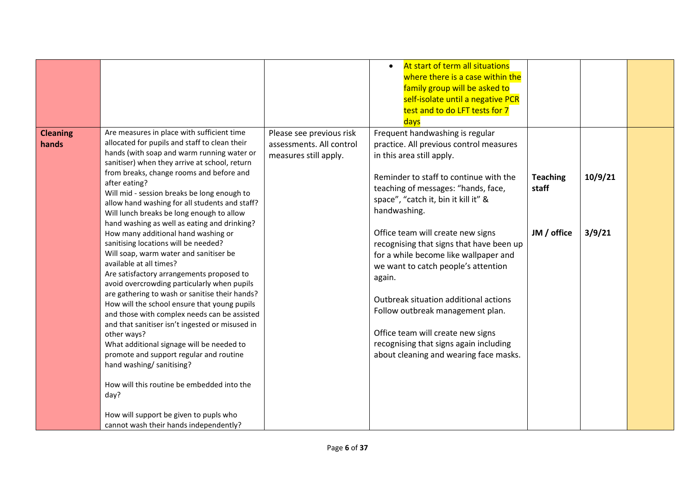|                          |                                                                                                                                                                                                                                                                                                                                                                                                                                                                                                                                                                                                                                                                                                                                                                                                                                                                                                                                                                                                                                                                                                                                                                                          |                                                                               | At start of term all situations<br>$\bullet$<br>where there is a case within the<br>family group will be asked to<br>self-isolate until a negative PCR<br>test and to do LFT tests for 7<br>days                                                                                                                                                                                                                                                                                                                                                                                                                                  |                                         |                   |  |
|--------------------------|------------------------------------------------------------------------------------------------------------------------------------------------------------------------------------------------------------------------------------------------------------------------------------------------------------------------------------------------------------------------------------------------------------------------------------------------------------------------------------------------------------------------------------------------------------------------------------------------------------------------------------------------------------------------------------------------------------------------------------------------------------------------------------------------------------------------------------------------------------------------------------------------------------------------------------------------------------------------------------------------------------------------------------------------------------------------------------------------------------------------------------------------------------------------------------------|-------------------------------------------------------------------------------|-----------------------------------------------------------------------------------------------------------------------------------------------------------------------------------------------------------------------------------------------------------------------------------------------------------------------------------------------------------------------------------------------------------------------------------------------------------------------------------------------------------------------------------------------------------------------------------------------------------------------------------|-----------------------------------------|-------------------|--|
| <b>Cleaning</b><br>hands | Are measures in place with sufficient time<br>allocated for pupils and staff to clean their<br>hands (with soap and warm running water or<br>sanitiser) when they arrive at school, return<br>from breaks, change rooms and before and<br>after eating?<br>Will mid - session breaks be long enough to<br>allow hand washing for all students and staff?<br>Will lunch breaks be long enough to allow<br>hand washing as well as eating and drinking?<br>How many additional hand washing or<br>sanitising locations will be needed?<br>Will soap, warm water and sanitiser be<br>available at all times?<br>Are satisfactory arrangements proposed to<br>avoid overcrowding particularly when pupils<br>are gathering to wash or sanitise their hands?<br>How will the school ensure that young pupils<br>and those with complex needs can be assisted<br>and that sanitiser isn't ingested or misused in<br>other ways?<br>What additional signage will be needed to<br>promote and support regular and routine<br>hand washing/ sanitising?<br>How will this routine be embedded into the<br>day?<br>How will support be given to pupls who<br>cannot wash their hands independently? | Please see previous risk<br>assessments. All control<br>measures still apply. | Frequent handwashing is regular<br>practice. All previous control measures<br>in this area still apply.<br>Reminder to staff to continue with the<br>teaching of messages: "hands, face,<br>space", "catch it, bin it kill it" &<br>handwashing.<br>Office team will create new signs<br>recognising that signs that have been up<br>for a while become like wallpaper and<br>we want to catch people's attention<br>again.<br>Outbreak situation additional actions<br>Follow outbreak management plan.<br>Office team will create new signs<br>recognising that signs again including<br>about cleaning and wearing face masks. | <b>Teaching</b><br>staff<br>JM / office | 10/9/21<br>3/9/21 |  |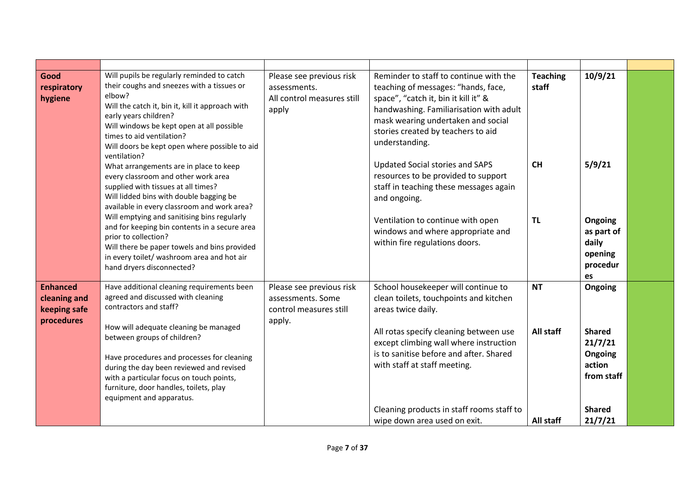| Good<br>respiratory<br>hygiene                                | Will pupils be regularly reminded to catch<br>their coughs and sneezes with a tissues or<br>elbow?<br>Will the catch it, bin it, kill it approach with<br>early years children?<br>Will windows be kept open at all possible<br>times to aid ventilation?<br>Will doors be kept open where possible to aid<br>ventilation? | Please see previous risk<br>assessments.<br>All control measures still<br>apply   | Reminder to staff to continue with the<br>teaching of messages: "hands, face,<br>space", "catch it, bin it kill it" &<br>handwashing. Familiarisation with adult<br>mask wearing undertaken and social<br>stories created by teachers to aid<br>understanding. | <b>Teaching</b><br>staff | 10/9/21                                                     |  |
|---------------------------------------------------------------|----------------------------------------------------------------------------------------------------------------------------------------------------------------------------------------------------------------------------------------------------------------------------------------------------------------------------|-----------------------------------------------------------------------------------|----------------------------------------------------------------------------------------------------------------------------------------------------------------------------------------------------------------------------------------------------------------|--------------------------|-------------------------------------------------------------|--|
|                                                               | What arrangements are in place to keep<br>every classroom and other work area<br>supplied with tissues at all times?<br>Will lidded bins with double bagging be<br>available in every classroom and work area?<br>Will emptying and sanitising bins regularly<br>and for keeping bin contents in a secure area             |                                                                                   | Updated Social stories and SAPS<br>resources to be provided to support<br>staff in teaching these messages again<br>and ongoing.<br>Ventilation to continue with open<br>windows and where appropriate and                                                     | CH<br><b>TL</b>          | 5/9/21<br>Ongoing<br>as part of                             |  |
|                                                               | prior to collection?<br>Will there be paper towels and bins provided<br>in every toilet/ washroom area and hot air<br>hand dryers disconnected?                                                                                                                                                                            |                                                                                   | within fire regulations doors.                                                                                                                                                                                                                                 |                          | daily<br>opening<br>procedur<br>es                          |  |
| <b>Enhanced</b><br>cleaning and<br>keeping safe<br>procedures | Have additional cleaning requirements been<br>agreed and discussed with cleaning<br>contractors and staff?<br>How will adequate cleaning be managed                                                                                                                                                                        | Please see previous risk<br>assessments. Some<br>control measures still<br>apply. | School housekeeper will continue to<br>clean toilets, touchpoints and kitchen<br>areas twice daily.                                                                                                                                                            | <b>NT</b>                | Ongoing                                                     |  |
|                                                               | between groups of children?<br>Have procedures and processes for cleaning<br>during the day been reviewed and revised<br>with a particular focus on touch points,<br>furniture, door handles, toilets, play<br>equipment and apparatus.                                                                                    |                                                                                   | All rotas specify cleaning between use<br>except climbing wall where instruction<br>is to sanitise before and after. Shared<br>with staff at staff meeting.                                                                                                    | All staff                | <b>Shared</b><br>21/7/21<br>Ongoing<br>action<br>from staff |  |
|                                                               |                                                                                                                                                                                                                                                                                                                            |                                                                                   | Cleaning products in staff rooms staff to<br>wipe down area used on exit.                                                                                                                                                                                      | All staff                | <b>Shared</b><br>21/7/21                                    |  |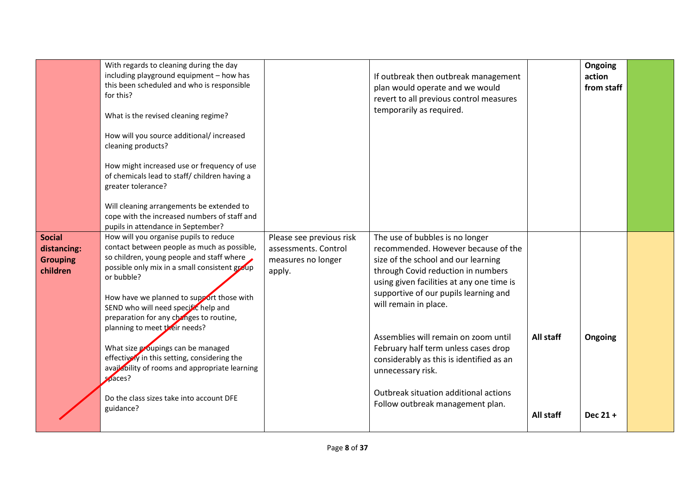|                                                             | With regards to cleaning during the day<br>including playground equipment - how has<br>this been scheduled and who is responsible<br>for this?<br>What is the revised cleaning regime?<br>How will you source additional/ increased<br>cleaning products?<br>How might increased use or frequency of use<br>of chemicals lead to staff/ children having a<br>greater tolerance?<br>Will cleaning arrangements be extended to<br>cope with the increased numbers of staff and<br>pupils in attendance in September?                                                                      |                                                                                  | If outbreak then outbreak management<br>plan would operate and we would<br>revert to all previous control measures<br>temporarily as required.                                                                                                                                                                                                                                                                                                                                                   |                        | Ongoing<br>action<br>from staff |  |
|-------------------------------------------------------------|-----------------------------------------------------------------------------------------------------------------------------------------------------------------------------------------------------------------------------------------------------------------------------------------------------------------------------------------------------------------------------------------------------------------------------------------------------------------------------------------------------------------------------------------------------------------------------------------|----------------------------------------------------------------------------------|--------------------------------------------------------------------------------------------------------------------------------------------------------------------------------------------------------------------------------------------------------------------------------------------------------------------------------------------------------------------------------------------------------------------------------------------------------------------------------------------------|------------------------|---------------------------------|--|
| <b>Social</b><br>distancing:<br><b>Grouping</b><br>children | How will you organise pupils to reduce<br>contact between people as much as possible,<br>so children, young people and staff where<br>possible only mix in a small consistent group<br>or bubble?<br>How have we planned to support those with<br>SEND who will need specific help and<br>preparation for any changes to routine,<br>planning to meet their needs?<br>What size groupings can be managed<br>effectively in this setting, considering the<br>availability of rooms and appropriate learning<br>$\sqrt{5}$ aces?<br>Do the class sizes take into account DFE<br>guidance? | Please see previous risk<br>assessments. Control<br>measures no longer<br>apply. | The use of bubbles is no longer<br>recommended. However because of the<br>size of the school and our learning<br>through Covid reduction in numbers<br>using given facilities at any one time is<br>supportive of our pupils learning and<br>will remain in place.<br>Assemblies will remain on zoom until<br>February half term unless cases drop<br>considerably as this is identified as an<br>unnecessary risk.<br>Outbreak situation additional actions<br>Follow outbreak management plan. | All staff<br>All staff | Ongoing<br>Dec 21+              |  |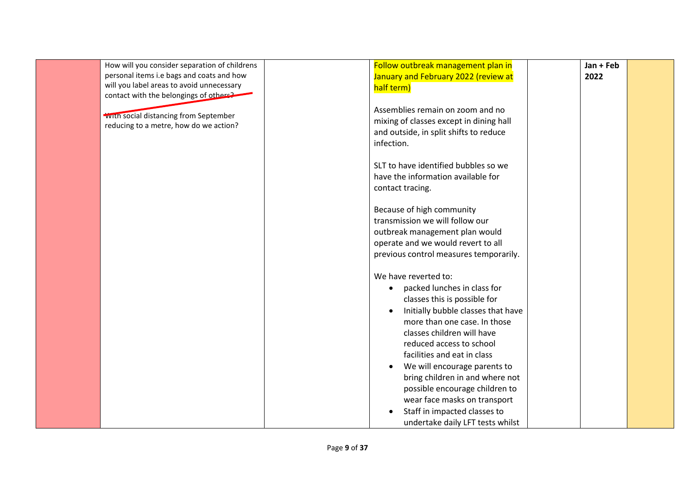| How will you consider separation of childrens | Follow outbreak management plan in        | Jan + Feb |  |
|-----------------------------------------------|-------------------------------------------|-----------|--|
| personal items i.e bags and coats and how     | January and February 2022 (review at      | 2022      |  |
| will you label areas to avoid unnecessary     | half term)                                |           |  |
| contact with the belongings of others?        |                                           |           |  |
|                                               | Assemblies remain on zoom and no          |           |  |
| <b>WIth social distancing from September</b>  | mixing of classes except in dining hall   |           |  |
| reducing to a metre, how do we action?        | and outside, in split shifts to reduce    |           |  |
|                                               | infection.                                |           |  |
|                                               |                                           |           |  |
|                                               | SLT to have identified bubbles so we      |           |  |
|                                               | have the information available for        |           |  |
|                                               | contact tracing.                          |           |  |
|                                               |                                           |           |  |
|                                               | Because of high community                 |           |  |
|                                               | transmission we will follow our           |           |  |
|                                               | outbreak management plan would            |           |  |
|                                               | operate and we would revert to all        |           |  |
|                                               | previous control measures temporarily.    |           |  |
|                                               |                                           |           |  |
|                                               | We have reverted to:                      |           |  |
|                                               | packed lunches in class for<br>$\bullet$  |           |  |
|                                               | classes this is possible for              |           |  |
|                                               | Initially bubble classes that have        |           |  |
|                                               | more than one case. In those              |           |  |
|                                               | classes children will have                |           |  |
|                                               | reduced access to school                  |           |  |
|                                               | facilities and eat in class               |           |  |
|                                               | We will encourage parents to<br>$\bullet$ |           |  |
|                                               | bring children in and where not           |           |  |
|                                               | possible encourage children to            |           |  |
|                                               | wear face masks on transport              |           |  |
|                                               | Staff in impacted classes to<br>$\bullet$ |           |  |
|                                               | undertake daily LFT tests whilst          |           |  |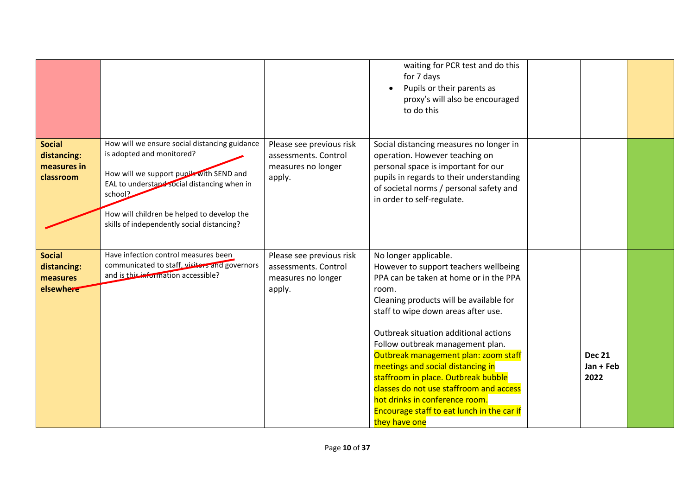|                                                          |                                                                                                                                                                                                                                                                              |                                                                                  | waiting for PCR test and do this<br>for 7 days<br>Pupils or their parents as<br>proxy's will also be encouraged<br>to do this                                                                                                                                                                                                                                                                                                                                                                                                                    |                                    |  |
|----------------------------------------------------------|------------------------------------------------------------------------------------------------------------------------------------------------------------------------------------------------------------------------------------------------------------------------------|----------------------------------------------------------------------------------|--------------------------------------------------------------------------------------------------------------------------------------------------------------------------------------------------------------------------------------------------------------------------------------------------------------------------------------------------------------------------------------------------------------------------------------------------------------------------------------------------------------------------------------------------|------------------------------------|--|
| <b>Social</b><br>distancing:<br>measures in<br>classroom | How will we ensure social distancing guidance<br>is adopted and monitored?<br>How will we support pupils with SEND and<br>EAL to understand social distancing when in<br>school?<br>How will children be helped to develop the<br>skills of independently social distancing? | Please see previous risk<br>assessments. Control<br>measures no longer<br>apply. | Social distancing measures no longer in<br>operation. However teaching on<br>personal space is important for our<br>pupils in regards to their understanding<br>of societal norms / personal safety and<br>in order to self-regulate.                                                                                                                                                                                                                                                                                                            |                                    |  |
| <b>Social</b><br>distancing:<br>measures<br>elsewhere    | Have infection control measures been<br>communicated to staff, visitors and governors<br>and is this information accessible?                                                                                                                                                 | Please see previous risk<br>assessments. Control<br>measures no longer<br>apply. | No longer applicable.<br>However to support teachers wellbeing<br>PPA can be taken at home or in the PPA<br>room.<br>Cleaning products will be available for<br>staff to wipe down areas after use.<br>Outbreak situation additional actions<br>Follow outbreak management plan.<br>Outbreak management plan: zoom staff<br>meetings and social distancing in<br>staffroom in place. Outbreak bubble<br>classes do not use staffroom and access<br>hot drinks in conference room.<br>Encourage staff to eat lunch in the car if<br>they have one | <b>Dec 21</b><br>Jan + Feb<br>2022 |  |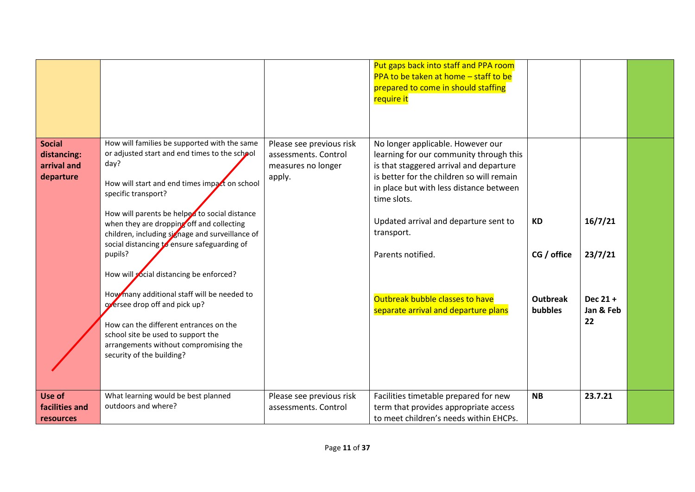|                                                          |                                                                                                                                                                                                                                                                                                                                                                                                                                                                                                                                                                                                                                                                           |                                                                                  | Put gaps back into staff and PPA room<br>PPA to be taken at home - staff to be<br>prepared to come in should staffing<br>require it                                                                                                                                                                                                                                                   |                                                               |                                                     |  |
|----------------------------------------------------------|---------------------------------------------------------------------------------------------------------------------------------------------------------------------------------------------------------------------------------------------------------------------------------------------------------------------------------------------------------------------------------------------------------------------------------------------------------------------------------------------------------------------------------------------------------------------------------------------------------------------------------------------------------------------------|----------------------------------------------------------------------------------|---------------------------------------------------------------------------------------------------------------------------------------------------------------------------------------------------------------------------------------------------------------------------------------------------------------------------------------------------------------------------------------|---------------------------------------------------------------|-----------------------------------------------------|--|
| <b>Social</b><br>distancing:<br>arrival and<br>departure | How will families be supported with the same<br>or adjusted start and end times to the school<br>day?<br>How will start and end times impact on school<br>specific transport?<br>How will parents be helped to social distance<br>when they are dropping off and collecting<br>children, including signage and surveillance of<br>social distancing to ensure safeguarding of<br>pupils?<br>How will social distancing be enforced?<br>How many additional staff will be needed to<br>oversee drop off and pick up?<br>How can the different entrances on the<br>school site be used to support the<br>arrangements without compromising the<br>security of the building? | Please see previous risk<br>assessments. Control<br>measures no longer<br>apply. | No longer applicable. However our<br>learning for our community through this<br>is that staggered arrival and departure<br>is better for the children so will remain<br>in place but with less distance between<br>time slots.<br>Updated arrival and departure sent to<br>transport.<br>Parents notified.<br>Outbreak bubble classes to have<br>separate arrival and departure plans | <b>KD</b><br>CG / office<br><b>Outbreak</b><br><b>bubbles</b> | 16/7/21<br>23/7/21<br>Dec $21 +$<br>Jan & Feb<br>22 |  |
| Use of<br>facilities and<br>resources                    | What learning would be best planned<br>outdoors and where?                                                                                                                                                                                                                                                                                                                                                                                                                                                                                                                                                                                                                | Please see previous risk<br>assessments. Control                                 | Facilities timetable prepared for new<br>term that provides appropriate access<br>to meet children's needs within EHCPs.                                                                                                                                                                                                                                                              | <b>NB</b>                                                     | 23.7.21                                             |  |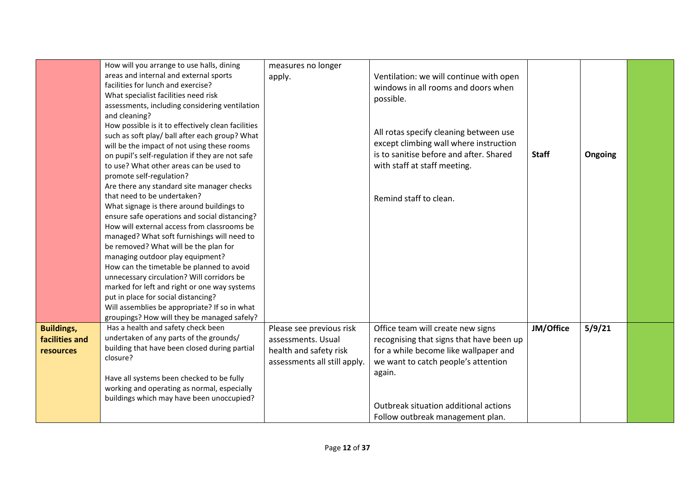|                   | How will you arrange to use halls, dining          | measures no longer           |                                          |              |         |  |
|-------------------|----------------------------------------------------|------------------------------|------------------------------------------|--------------|---------|--|
|                   | areas and internal and external sports             |                              |                                          |              |         |  |
|                   | facilities for lunch and exercise?                 | apply.                       | Ventilation: we will continue with open  |              |         |  |
|                   | What specialist facilities need risk               |                              | windows in all rooms and doors when      |              |         |  |
|                   | assessments, including considering ventilation     |                              | possible.                                |              |         |  |
|                   | and cleaning?                                      |                              |                                          |              |         |  |
|                   | How possible is it to effectively clean facilities |                              |                                          |              |         |  |
|                   | such as soft play/ ball after each group? What     |                              | All rotas specify cleaning between use   |              |         |  |
|                   | will be the impact of not using these rooms        |                              | except climbing wall where instruction   |              |         |  |
|                   | on pupil's self-regulation if they are not safe    |                              | is to sanitise before and after. Shared  | <b>Staff</b> | Ongoing |  |
|                   | to use? What other areas can be used to            |                              | with staff at staff meeting.             |              |         |  |
|                   | promote self-regulation?                           |                              |                                          |              |         |  |
|                   | Are there any standard site manager checks         |                              |                                          |              |         |  |
|                   | that need to be undertaken?                        |                              |                                          |              |         |  |
|                   | What signage is there around buildings to          |                              | Remind staff to clean.                   |              |         |  |
|                   | ensure safe operations and social distancing?      |                              |                                          |              |         |  |
|                   | How will external access from classrooms be        |                              |                                          |              |         |  |
|                   | managed? What soft furnishings will need to        |                              |                                          |              |         |  |
|                   | be removed? What will be the plan for              |                              |                                          |              |         |  |
|                   | managing outdoor play equipment?                   |                              |                                          |              |         |  |
|                   | How can the timetable be planned to avoid          |                              |                                          |              |         |  |
|                   | unnecessary circulation? Will corridors be         |                              |                                          |              |         |  |
|                   | marked for left and right or one way systems       |                              |                                          |              |         |  |
|                   | put in place for social distancing?                |                              |                                          |              |         |  |
|                   | Will assemblies be appropriate? If so in what      |                              |                                          |              |         |  |
|                   | groupings? How will they be managed safely?        |                              |                                          |              |         |  |
| <b>Buildings,</b> | Has a health and safety check been                 | Please see previous risk     | Office team will create new signs        | JM/Office    | 5/9/21  |  |
| facilities and    | undertaken of any parts of the grounds/            | assessments. Usual           | recognising that signs that have been up |              |         |  |
| resources         | building that have been closed during partial      | health and safety risk       | for a while become like wallpaper and    |              |         |  |
|                   | closure?                                           | assessments all still apply. | we want to catch people's attention      |              |         |  |
|                   |                                                    |                              | again.                                   |              |         |  |
|                   | Have all systems been checked to be fully          |                              |                                          |              |         |  |
|                   | working and operating as normal, especially        |                              |                                          |              |         |  |
|                   | buildings which may have been unoccupied?          |                              |                                          |              |         |  |
|                   |                                                    |                              | Outbreak situation additional actions    |              |         |  |
|                   |                                                    |                              | Follow outbreak management plan.         |              |         |  |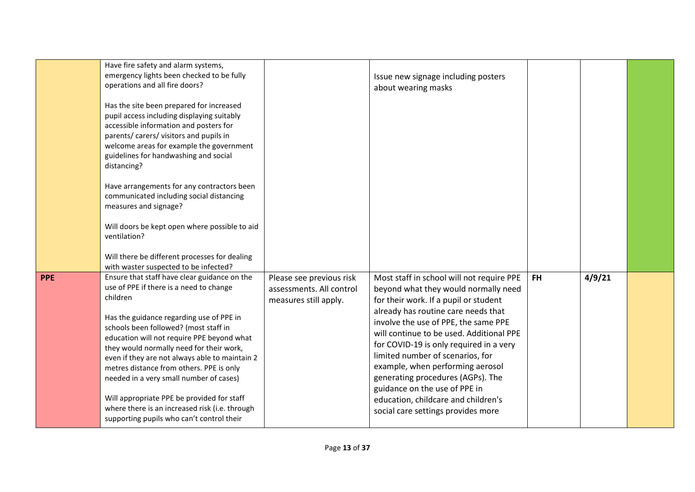|            | Have fire safety and alarm systems,<br>emergency lights been checked to be fully<br>operations and all fire doors?                                                                                                                                                                                                                                                                                                                                                                                                                                                       |                                                                               | Issue new signage including posters<br>about wearing masks                                                                                                                                                                                                                                                                                                                                                                                                                                                                  |     |        |  |
|------------|--------------------------------------------------------------------------------------------------------------------------------------------------------------------------------------------------------------------------------------------------------------------------------------------------------------------------------------------------------------------------------------------------------------------------------------------------------------------------------------------------------------------------------------------------------------------------|-------------------------------------------------------------------------------|-----------------------------------------------------------------------------------------------------------------------------------------------------------------------------------------------------------------------------------------------------------------------------------------------------------------------------------------------------------------------------------------------------------------------------------------------------------------------------------------------------------------------------|-----|--------|--|
|            | Has the site been prepared for increased<br>pupil access including displaying suitably<br>accessible information and posters for<br>parents/ carers/ visitors and pupils in<br>welcome areas for example the government<br>guidelines for handwashing and social<br>distancing?                                                                                                                                                                                                                                                                                          |                                                                               |                                                                                                                                                                                                                                                                                                                                                                                                                                                                                                                             |     |        |  |
|            | Have arrangements for any contractors been<br>communicated including social distancing<br>measures and signage?                                                                                                                                                                                                                                                                                                                                                                                                                                                          |                                                                               |                                                                                                                                                                                                                                                                                                                                                                                                                                                                                                                             |     |        |  |
|            | Will doors be kept open where possible to aid<br>ventilation?                                                                                                                                                                                                                                                                                                                                                                                                                                                                                                            |                                                                               |                                                                                                                                                                                                                                                                                                                                                                                                                                                                                                                             |     |        |  |
|            | Will there be different processes for dealing<br>with waster suspected to be infected?                                                                                                                                                                                                                                                                                                                                                                                                                                                                                   |                                                                               |                                                                                                                                                                                                                                                                                                                                                                                                                                                                                                                             |     |        |  |
| <b>PPE</b> | Ensure that staff have clear guidance on the<br>use of PPE if there is a need to change<br>children<br>Has the guidance regarding use of PPE in<br>schools been followed? (most staff in<br>education will not require PPE beyond what<br>they would normally need for their work,<br>even if they are not always able to maintain 2<br>metres distance from others. PPE is only<br>needed in a very small number of cases)<br>Will appropriate PPE be provided for staff<br>where there is an increased risk (i.e. through<br>supporting pupils who can't control their | Please see previous risk<br>assessments. All control<br>measures still apply. | Most staff in school will not require PPE<br>beyond what they would normally need<br>for their work. If a pupil or student<br>already has routine care needs that<br>involve the use of PPE, the same PPE<br>will continue to be used. Additional PPE<br>for COVID-19 is only required in a very<br>limited number of scenarios, for<br>example, when performing aerosol<br>generating procedures (AGPs). The<br>guidance on the use of PPE in<br>education, childcare and children's<br>social care settings provides more | FH. | 4/9/21 |  |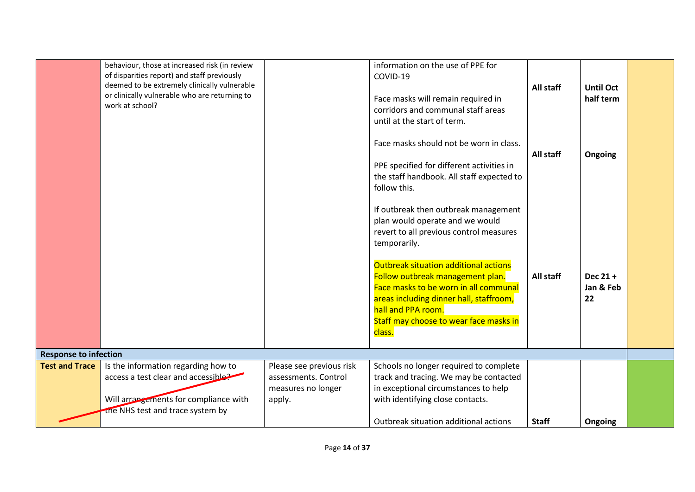|                              | behaviour, those at increased risk (in review<br>of disparities report) and staff previously<br>deemed to be extremely clinically vulnerable<br>or clinically vulnerable who are returning to<br>work at school? |                                                      | information on the use of PPE for<br>COVID-19<br>Face masks will remain required in<br>corridors and communal staff areas<br>until at the start of term.<br>Face masks should not be worn in class.<br>PPE specified for different activities in<br>the staff handbook. All staff expected to<br>follow this.<br>If outbreak then outbreak management<br>plan would operate and we would<br>revert to all previous control measures<br>temporarily.<br>Outbreak situation additional actions<br>Follow outbreak management plan.<br>Face masks to be worn in all communal<br>areas including dinner hall, staffroom,<br>hall and PPA room.<br>Staff may choose to wear face masks in<br>class. | All staff<br>All staff<br>All staff | <b>Until Oct</b><br>half term<br>Ongoing<br>Dec 21+<br>Jan & Feb<br>22 |  |
|------------------------------|------------------------------------------------------------------------------------------------------------------------------------------------------------------------------------------------------------------|------------------------------------------------------|------------------------------------------------------------------------------------------------------------------------------------------------------------------------------------------------------------------------------------------------------------------------------------------------------------------------------------------------------------------------------------------------------------------------------------------------------------------------------------------------------------------------------------------------------------------------------------------------------------------------------------------------------------------------------------------------|-------------------------------------|------------------------------------------------------------------------|--|
| <b>Response to infection</b> |                                                                                                                                                                                                                  |                                                      |                                                                                                                                                                                                                                                                                                                                                                                                                                                                                                                                                                                                                                                                                                |                                     |                                                                        |  |
| <b>Test and Trace</b>        | Is the information regarding how to                                                                                                                                                                              | Please see previous risk                             | Schools no longer required to complete                                                                                                                                                                                                                                                                                                                                                                                                                                                                                                                                                                                                                                                         |                                     |                                                                        |  |
|                              | access a test clear and accessible<br>Will arrangements for compliance with<br>the NHS test and trace system by                                                                                                  | assessments. Control<br>measures no longer<br>apply. | track and tracing. We may be contacted<br>in exceptional circumstances to help<br>with identifying close contacts.                                                                                                                                                                                                                                                                                                                                                                                                                                                                                                                                                                             |                                     |                                                                        |  |
|                              |                                                                                                                                                                                                                  |                                                      | Outbreak situation additional actions                                                                                                                                                                                                                                                                                                                                                                                                                                                                                                                                                                                                                                                          | <b>Staff</b>                        | Ongoing                                                                |  |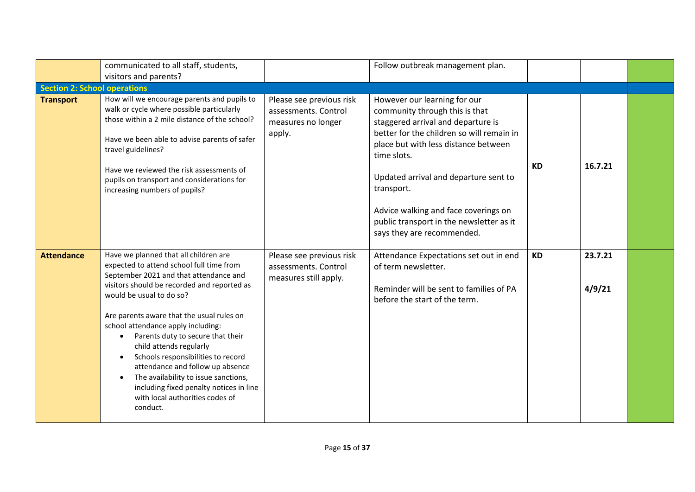|                                     | communicated to all staff, students,                                                                                                                                                                                                                                                                                                                                                                                                                                                                                                                                               |                                                                                  | Follow outbreak management plan.                                                                                                                                                                                                                                                                                                                                                  |           |                   |  |
|-------------------------------------|------------------------------------------------------------------------------------------------------------------------------------------------------------------------------------------------------------------------------------------------------------------------------------------------------------------------------------------------------------------------------------------------------------------------------------------------------------------------------------------------------------------------------------------------------------------------------------|----------------------------------------------------------------------------------|-----------------------------------------------------------------------------------------------------------------------------------------------------------------------------------------------------------------------------------------------------------------------------------------------------------------------------------------------------------------------------------|-----------|-------------------|--|
|                                     | visitors and parents?                                                                                                                                                                                                                                                                                                                                                                                                                                                                                                                                                              |                                                                                  |                                                                                                                                                                                                                                                                                                                                                                                   |           |                   |  |
| <b>Section 2: School operations</b> |                                                                                                                                                                                                                                                                                                                                                                                                                                                                                                                                                                                    |                                                                                  |                                                                                                                                                                                                                                                                                                                                                                                   |           |                   |  |
| <b>Transport</b>                    | How will we encourage parents and pupils to<br>walk or cycle where possible particularly<br>those within a 2 mile distance of the school?<br>Have we been able to advise parents of safer<br>travel guidelines?<br>Have we reviewed the risk assessments of<br>pupils on transport and considerations for<br>increasing numbers of pupils?                                                                                                                                                                                                                                         | Please see previous risk<br>assessments. Control<br>measures no longer<br>apply. | However our learning for our<br>community through this is that<br>staggered arrival and departure is<br>better for the children so will remain in<br>place but with less distance between<br>time slots.<br>Updated arrival and departure sent to<br>transport.<br>Advice walking and face coverings on<br>public transport in the newsletter as it<br>says they are recommended. | <b>KD</b> | 16.7.21           |  |
| <b>Attendance</b>                   | Have we planned that all children are<br>expected to attend school full time from<br>September 2021 and that attendance and<br>visitors should be recorded and reported as<br>would be usual to do so?<br>Are parents aware that the usual rules on<br>school attendance apply including:<br>Parents duty to secure that their<br>$\bullet$<br>child attends regularly<br>Schools responsibilities to record<br>attendance and follow up absence<br>The availability to issue sanctions,<br>including fixed penalty notices in line<br>with local authorities codes of<br>conduct. | Please see previous risk<br>assessments. Control<br>measures still apply.        | Attendance Expectations set out in end<br>of term newsletter.<br>Reminder will be sent to families of PA<br>before the start of the term.                                                                                                                                                                                                                                         | <b>KD</b> | 23.7.21<br>4/9/21 |  |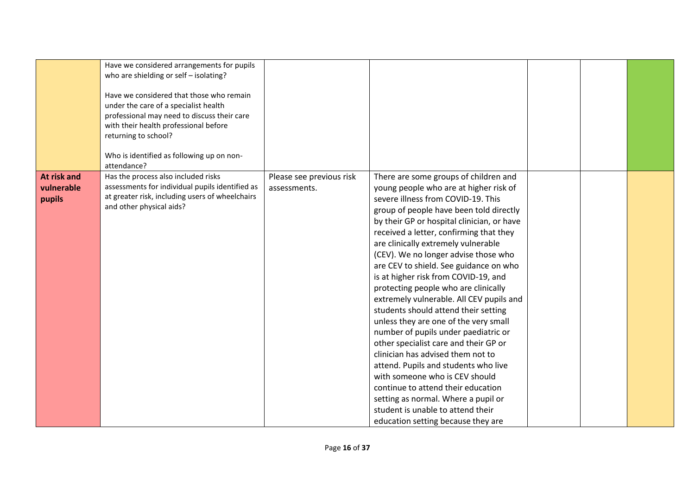|             | Have we considered arrangements for pupils<br>who are shielding or self - isolating?<br>Have we considered that those who remain<br>under the care of a specialist health<br>professional may need to discuss their care |                          |                                                                               |  |  |
|-------------|--------------------------------------------------------------------------------------------------------------------------------------------------------------------------------------------------------------------------|--------------------------|-------------------------------------------------------------------------------|--|--|
|             | with their health professional before                                                                                                                                                                                    |                          |                                                                               |  |  |
|             | returning to school?                                                                                                                                                                                                     |                          |                                                                               |  |  |
|             | Who is identified as following up on non-<br>attendance?                                                                                                                                                                 |                          |                                                                               |  |  |
| At risk and | Has the process also included risks                                                                                                                                                                                      | Please see previous risk | There are some groups of children and                                         |  |  |
| vulnerable  | assessments for individual pupils identified as<br>at greater risk, including users of wheelchairs                                                                                                                       | assessments.             | young people who are at higher risk of                                        |  |  |
| pupils      | and other physical aids?                                                                                                                                                                                                 |                          | severe illness from COVID-19. This<br>group of people have been told directly |  |  |
|             |                                                                                                                                                                                                                          |                          | by their GP or hospital clinician, or have                                    |  |  |
|             |                                                                                                                                                                                                                          |                          | received a letter, confirming that they                                       |  |  |
|             |                                                                                                                                                                                                                          |                          | are clinically extremely vulnerable                                           |  |  |
|             |                                                                                                                                                                                                                          |                          | (CEV). We no longer advise those who                                          |  |  |
|             |                                                                                                                                                                                                                          |                          | are CEV to shield. See guidance on who                                        |  |  |
|             |                                                                                                                                                                                                                          |                          | is at higher risk from COVID-19, and                                          |  |  |
|             |                                                                                                                                                                                                                          |                          | protecting people who are clinically                                          |  |  |
|             |                                                                                                                                                                                                                          |                          | extremely vulnerable. All CEV pupils and                                      |  |  |
|             |                                                                                                                                                                                                                          |                          | students should attend their setting                                          |  |  |
|             |                                                                                                                                                                                                                          |                          | unless they are one of the very small                                         |  |  |
|             |                                                                                                                                                                                                                          |                          | number of pupils under paediatric or                                          |  |  |
|             |                                                                                                                                                                                                                          |                          | other specialist care and their GP or                                         |  |  |
|             |                                                                                                                                                                                                                          |                          | clinician has advised them not to                                             |  |  |
|             |                                                                                                                                                                                                                          |                          | attend. Pupils and students who live<br>with someone who is CEV should        |  |  |
|             |                                                                                                                                                                                                                          |                          | continue to attend their education                                            |  |  |
|             |                                                                                                                                                                                                                          |                          | setting as normal. Where a pupil or                                           |  |  |
|             |                                                                                                                                                                                                                          |                          | student is unable to attend their                                             |  |  |
|             |                                                                                                                                                                                                                          |                          | education setting because they are                                            |  |  |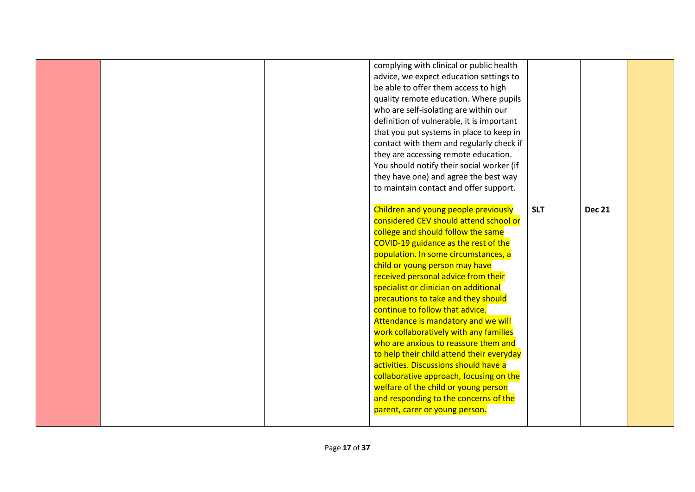|  | complying with clinical or public health  |            |               |  |
|--|-------------------------------------------|------------|---------------|--|
|  | advice, we expect education settings to   |            |               |  |
|  | be able to offer them access to high      |            |               |  |
|  | quality remote education. Where pupils    |            |               |  |
|  | who are self-isolating are within our     |            |               |  |
|  | definition of vulnerable, it is important |            |               |  |
|  | that you put systems in place to keep in  |            |               |  |
|  | contact with them and regularly check if  |            |               |  |
|  | they are accessing remote education.      |            |               |  |
|  | You should notify their social worker (if |            |               |  |
|  | they have one) and agree the best way     |            |               |  |
|  | to maintain contact and offer support.    |            |               |  |
|  |                                           |            |               |  |
|  | Children and young people previously      | <b>SLT</b> | <b>Dec 21</b> |  |
|  | considered CEV should attend school or    |            |               |  |
|  | college and should follow the same        |            |               |  |
|  | COVID-19 guidance as the rest of the      |            |               |  |
|  | population. In some circumstances, a      |            |               |  |
|  | child or young person may have            |            |               |  |
|  | received personal advice from their       |            |               |  |
|  | specialist or clinician on additional     |            |               |  |
|  | precautions to take and they should       |            |               |  |
|  | continue to follow that advice.           |            |               |  |
|  | Attendance is mandatory and we will       |            |               |  |
|  | work collaboratively with any families    |            |               |  |
|  | who are anxious to reassure them and      |            |               |  |
|  | to help their child attend their everyday |            |               |  |
|  | activities. Discussions should have a     |            |               |  |
|  | collaborative approach, focusing on the   |            |               |  |
|  | welfare of the child or young person      |            |               |  |
|  | and responding to the concerns of the     |            |               |  |
|  | parent, carer or young person.            |            |               |  |
|  |                                           |            |               |  |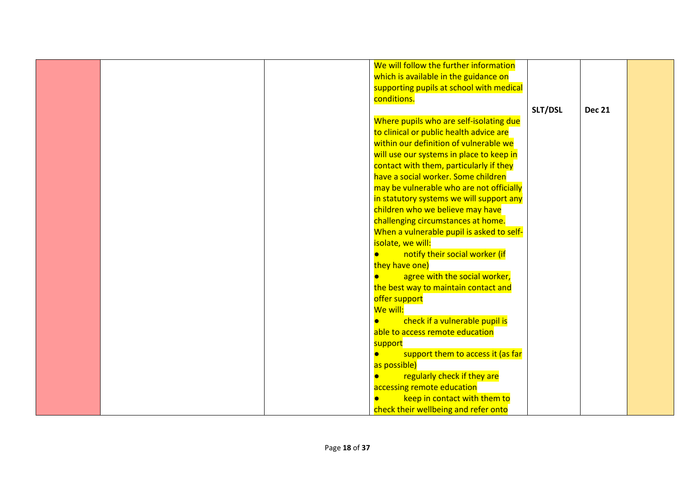|  | We will follow the further information    |         |               |  |
|--|-------------------------------------------|---------|---------------|--|
|  | which is available in the guidance on     |         |               |  |
|  | supporting pupils at school with medical  |         |               |  |
|  | conditions.                               |         |               |  |
|  |                                           | SLT/DSL | <b>Dec 21</b> |  |
|  | Where pupils who are self-isolating due   |         |               |  |
|  | to clinical or public health advice are   |         |               |  |
|  | within our definition of vulnerable we    |         |               |  |
|  |                                           |         |               |  |
|  | will use our systems in place to keep in  |         |               |  |
|  | contact with them, particularly if they   |         |               |  |
|  | have a social worker. Some children       |         |               |  |
|  | may be vulnerable who are not officially  |         |               |  |
|  | in statutory systems we will support any  |         |               |  |
|  | children who we believe may have          |         |               |  |
|  | challenging circumstances at home.        |         |               |  |
|  | When a vulnerable pupil is asked to self- |         |               |  |
|  | isolate, we will:                         |         |               |  |
|  | notify their social worker (if            |         |               |  |
|  | they have one)                            |         |               |  |
|  | agree with the social worker,             |         |               |  |
|  | the best way to maintain contact and      |         |               |  |
|  | offer support                             |         |               |  |
|  | We will:                                  |         |               |  |
|  | check if a vulnerable pupil is            |         |               |  |
|  | able to access remote education           |         |               |  |
|  | support                                   |         |               |  |
|  | support them to access it (as far         |         |               |  |
|  | as possible)                              |         |               |  |
|  | regularly check if they are               |         |               |  |
|  |                                           |         |               |  |
|  | accessing remote education                |         |               |  |
|  | keep in contact with them to              |         |               |  |
|  | check their wellbeing and refer onto      |         |               |  |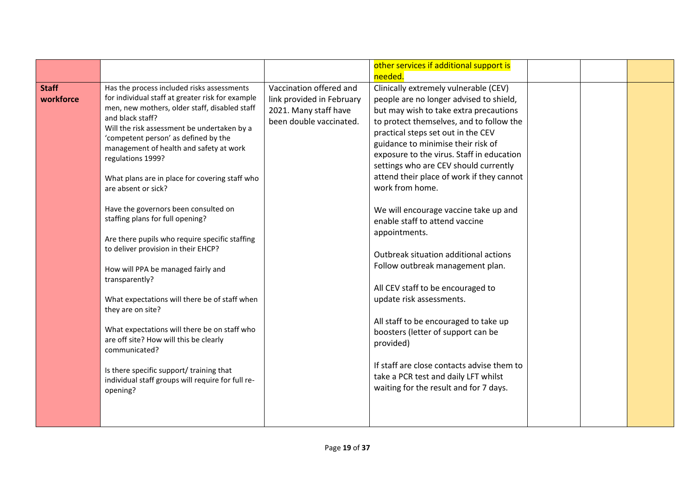|              |                                                                                                   |                           | other services if additional support is    |  |  |  |
|--------------|---------------------------------------------------------------------------------------------------|---------------------------|--------------------------------------------|--|--|--|
|              |                                                                                                   |                           | needed.                                    |  |  |  |
| <b>Staff</b> | Has the process included risks assessments                                                        | Vaccination offered and   | Clinically extremely vulnerable (CEV)      |  |  |  |
| workforce    | for individual staff at greater risk for example<br>men, new mothers, older staff, disabled staff | link provided in February | people are no longer advised to shield,    |  |  |  |
|              |                                                                                                   | 2021. Many staff have     | but may wish to take extra precautions     |  |  |  |
|              | and black staff?                                                                                  | been double vaccinated.   | to protect themselves, and to follow the   |  |  |  |
|              | Will the risk assessment be undertaken by a<br>'competent person' as defined by the               |                           | practical steps set out in the CEV         |  |  |  |
|              | management of health and safety at work                                                           |                           | guidance to minimise their risk of         |  |  |  |
|              | regulations 1999?                                                                                 |                           | exposure to the virus. Staff in education  |  |  |  |
|              |                                                                                                   |                           | settings who are CEV should currently      |  |  |  |
|              | What plans are in place for covering staff who                                                    |                           | attend their place of work if they cannot  |  |  |  |
|              | are absent or sick?                                                                               |                           | work from home.                            |  |  |  |
|              |                                                                                                   |                           |                                            |  |  |  |
|              | Have the governors been consulted on                                                              |                           | We will encourage vaccine take up and      |  |  |  |
|              | staffing plans for full opening?                                                                  |                           | enable staff to attend vaccine             |  |  |  |
|              |                                                                                                   |                           | appointments.                              |  |  |  |
|              | Are there pupils who require specific staffing<br>to deliver provision in their EHCP?             |                           |                                            |  |  |  |
|              |                                                                                                   |                           | Outbreak situation additional actions      |  |  |  |
|              | How will PPA be managed fairly and                                                                |                           | Follow outbreak management plan.           |  |  |  |
|              | transparently?                                                                                    |                           |                                            |  |  |  |
|              |                                                                                                   |                           | All CEV staff to be encouraged to          |  |  |  |
|              | What expectations will there be of staff when                                                     |                           | update risk assessments.                   |  |  |  |
|              | they are on site?                                                                                 |                           |                                            |  |  |  |
|              |                                                                                                   |                           | All staff to be encouraged to take up      |  |  |  |
|              | What expectations will there be on staff who                                                      |                           | boosters (letter of support can be         |  |  |  |
|              | are off site? How will this be clearly<br>communicated?                                           |                           | provided)                                  |  |  |  |
|              |                                                                                                   |                           |                                            |  |  |  |
|              | Is there specific support/ training that                                                          |                           | If staff are close contacts advise them to |  |  |  |
|              | individual staff groups will require for full re-                                                 |                           | take a PCR test and daily LFT whilst       |  |  |  |
|              | opening?                                                                                          |                           | waiting for the result and for 7 days.     |  |  |  |
|              |                                                                                                   |                           |                                            |  |  |  |
|              |                                                                                                   |                           |                                            |  |  |  |
|              |                                                                                                   |                           |                                            |  |  |  |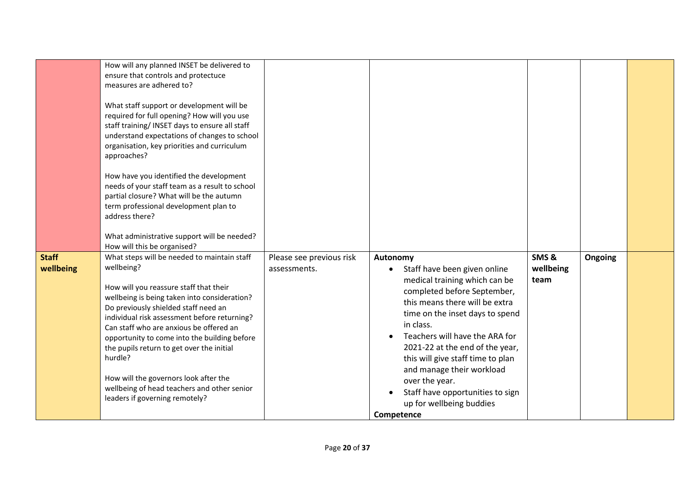|                           | How will any planned INSET be delivered to<br>ensure that controls and protectuce<br>measures are adhered to?<br>What staff support or development will be<br>required for full opening? How will you use<br>staff training/ INSET days to ensure all staff<br>understand expectations of changes to school<br>organisation, key priorities and curriculum<br>approaches?<br>How have you identified the development<br>needs of your staff team as a result to school<br>partial closure? What will be the autumn<br>term professional development plan to<br>address there?<br>What administrative support will be needed?<br>How will this be organised? |                                          |                                                                                                                                                                                                                                                                                                                                                                                                                                                |                           |         |  |
|---------------------------|-------------------------------------------------------------------------------------------------------------------------------------------------------------------------------------------------------------------------------------------------------------------------------------------------------------------------------------------------------------------------------------------------------------------------------------------------------------------------------------------------------------------------------------------------------------------------------------------------------------------------------------------------------------|------------------------------------------|------------------------------------------------------------------------------------------------------------------------------------------------------------------------------------------------------------------------------------------------------------------------------------------------------------------------------------------------------------------------------------------------------------------------------------------------|---------------------------|---------|--|
| <b>Staff</b><br>wellbeing | What steps will be needed to maintain staff<br>wellbeing?<br>How will you reassure staff that their<br>wellbeing is being taken into consideration?<br>Do previously shielded staff need an<br>individual risk assessment before returning?<br>Can staff who are anxious be offered an<br>opportunity to come into the building before<br>the pupils return to get over the initial<br>hurdle?<br>How will the governors look after the<br>wellbeing of head teachers and other senior<br>leaders if governing remotely?                                                                                                                                    | Please see previous risk<br>assessments. | Autonomy<br>Staff have been given online<br>$\bullet$<br>medical training which can be<br>completed before September,<br>this means there will be extra<br>time on the inset days to spend<br>in class.<br>Teachers will have the ARA for<br>2021-22 at the end of the year,<br>this will give staff time to plan<br>and manage their workload<br>over the year.<br>Staff have opportunities to sign<br>up for wellbeing buddies<br>Competence | SMS&<br>wellbeing<br>team | Ongoing |  |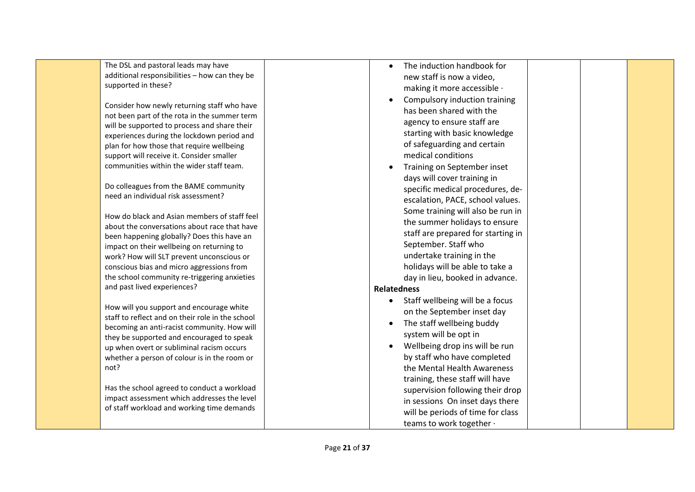| The DSL and pastoral leads may have                                                       | The induction handbook for         |
|-------------------------------------------------------------------------------------------|------------------------------------|
| additional responsibilities - how can they be                                             | new staff is now a video,          |
| supported in these?                                                                       | making it more accessible ·        |
|                                                                                           | Compulsory induction training      |
| Consider how newly returning staff who have                                               | has been shared with the           |
| not been part of the rota in the summer term                                              | agency to ensure staff are         |
| will be supported to process and share their                                              | starting with basic knowledge      |
| experiences during the lockdown period and                                                | of safeguarding and certain        |
| plan for how those that require wellbeing                                                 |                                    |
| support will receive it. Consider smaller                                                 | medical conditions                 |
| communities within the wider staff team.                                                  | Training on September inset        |
|                                                                                           | days will cover training in        |
| Do colleagues from the BAME community<br>need an individual risk assessment?              | specific medical procedures, de-   |
|                                                                                           | escalation, PACE, school values.   |
| How do black and Asian members of staff feel                                              | Some training will also be run in  |
| about the conversations about race that have                                              | the summer holidays to ensure      |
| been happening globally? Does this have an                                                | staff are prepared for starting in |
| impact on their wellbeing on returning to                                                 | September. Staff who               |
| work? How will SLT prevent unconscious or                                                 | undertake training in the          |
| conscious bias and micro aggressions from                                                 | holidays will be able to take a    |
| the school community re-triggering anxieties                                              | day in lieu, booked in advance.    |
| and past lived experiences?                                                               | <b>Relatedness</b>                 |
|                                                                                           | • Staff wellbeing will be a focus  |
| How will you support and encourage white                                                  | on the September inset day         |
| staff to reflect and on their role in the school                                          | The staff wellbeing buddy          |
| becoming an anti-racist community. How will                                               | system will be opt in              |
| they be supported and encouraged to speak                                                 |                                    |
| up when overt or subliminal racism occurs                                                 | Wellbeing drop ins will be run     |
| whether a person of colour is in the room or                                              | by staff who have completed        |
| not?                                                                                      | the Mental Health Awareness        |
|                                                                                           | training, these staff will have    |
| Has the school agreed to conduct a workload                                               | supervision following their drop   |
| impact assessment which addresses the level<br>of staff workload and working time demands | in sessions On inset days there    |
|                                                                                           | will be periods of time for class  |
|                                                                                           | teams to work together .           |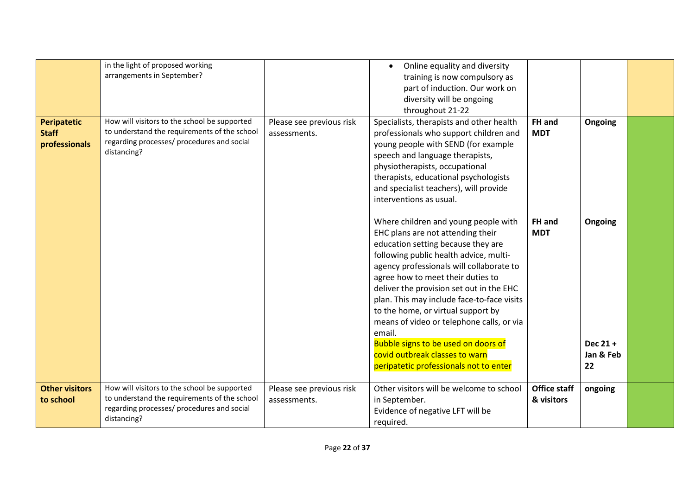|                       | in the light of proposed working             |                          | Online equality and diversity              |                     |           |  |
|-----------------------|----------------------------------------------|--------------------------|--------------------------------------------|---------------------|-----------|--|
|                       | arrangements in September?                   |                          | training is now compulsory as              |                     |           |  |
|                       |                                              |                          | part of induction. Our work on             |                     |           |  |
|                       |                                              |                          | diversity will be ongoing                  |                     |           |  |
|                       |                                              |                          | throughout 21-22                           |                     |           |  |
| <b>Peripatetic</b>    | How will visitors to the school be supported |                          |                                            | FH and              |           |  |
|                       | to understand the requirements of the school | Please see previous risk | Specialists, therapists and other health   |                     | Ongoing   |  |
| <b>Staff</b>          | regarding processes/ procedures and social   | assessments.             | professionals who support children and     | <b>MDT</b>          |           |  |
| professionals         | distancing?                                  |                          | young people with SEND (for example        |                     |           |  |
|                       |                                              |                          | speech and language therapists,            |                     |           |  |
|                       |                                              |                          | physiotherapists, occupational             |                     |           |  |
|                       |                                              |                          | therapists, educational psychologists      |                     |           |  |
|                       |                                              |                          | and specialist teachers), will provide     |                     |           |  |
|                       |                                              |                          | interventions as usual.                    |                     |           |  |
|                       |                                              |                          |                                            |                     |           |  |
|                       |                                              |                          | Where children and young people with       | FH and              | Ongoing   |  |
|                       |                                              |                          | EHC plans are not attending their          | <b>MDT</b>          |           |  |
|                       |                                              |                          | education setting because they are         |                     |           |  |
|                       |                                              |                          | following public health advice, multi-     |                     |           |  |
|                       |                                              |                          | agency professionals will collaborate to   |                     |           |  |
|                       |                                              |                          | agree how to meet their duties to          |                     |           |  |
|                       |                                              |                          |                                            |                     |           |  |
|                       |                                              |                          | deliver the provision set out in the EHC   |                     |           |  |
|                       |                                              |                          | plan. This may include face-to-face visits |                     |           |  |
|                       |                                              |                          | to the home, or virtual support by         |                     |           |  |
|                       |                                              |                          | means of video or telephone calls, or via  |                     |           |  |
|                       |                                              |                          | email.                                     |                     |           |  |
|                       |                                              |                          | Bubble signs to be used on doors of        |                     | Dec 21+   |  |
|                       |                                              |                          | covid outbreak classes to warn             |                     | Jan & Feb |  |
|                       |                                              |                          | peripatetic professionals not to enter     |                     | 22        |  |
|                       |                                              |                          |                                            |                     |           |  |
| <b>Other visitors</b> | How will visitors to the school be supported | Please see previous risk | Other visitors will be welcome to school   | <b>Office staff</b> | ongoing   |  |
| to school             | to understand the requirements of the school | assessments.             | in September.                              | & visitors          |           |  |
|                       | regarding processes/ procedures and social   |                          | Evidence of negative LFT will be           |                     |           |  |
|                       | distancing?                                  |                          | required.                                  |                     |           |  |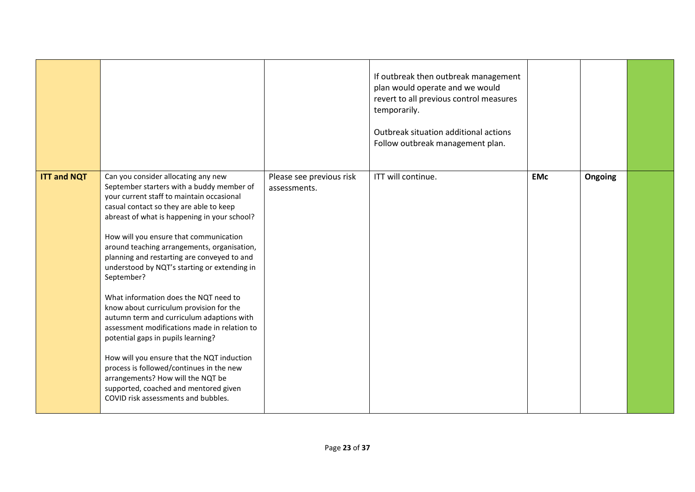|                    |                                                                                                                                                                                                                                                                                                                                                                                                                                                                                                                                                                                                                                                                                                                                                                                                                                                                      |                                          | If outbreak then outbreak management<br>plan would operate and we would<br>revert to all previous control measures<br>temporarily.<br>Outbreak situation additional actions<br>Follow outbreak management plan. |            |         |  |
|--------------------|----------------------------------------------------------------------------------------------------------------------------------------------------------------------------------------------------------------------------------------------------------------------------------------------------------------------------------------------------------------------------------------------------------------------------------------------------------------------------------------------------------------------------------------------------------------------------------------------------------------------------------------------------------------------------------------------------------------------------------------------------------------------------------------------------------------------------------------------------------------------|------------------------------------------|-----------------------------------------------------------------------------------------------------------------------------------------------------------------------------------------------------------------|------------|---------|--|
| <b>ITT and NQT</b> | Can you consider allocating any new<br>September starters with a buddy member of<br>your current staff to maintain occasional<br>casual contact so they are able to keep<br>abreast of what is happening in your school?<br>How will you ensure that communication<br>around teaching arrangements, organisation,<br>planning and restarting are conveyed to and<br>understood by NQT's starting or extending in<br>September?<br>What information does the NQT need to<br>know about curriculum provision for the<br>autumn term and curriculum adaptions with<br>assessment modifications made in relation to<br>potential gaps in pupils learning?<br>How will you ensure that the NQT induction<br>process is followed/continues in the new<br>arrangements? How will the NQT be<br>supported, coached and mentored given<br>COVID risk assessments and bubbles. | Please see previous risk<br>assessments. | ITT will continue.                                                                                                                                                                                              | <b>EMc</b> | Ongoing |  |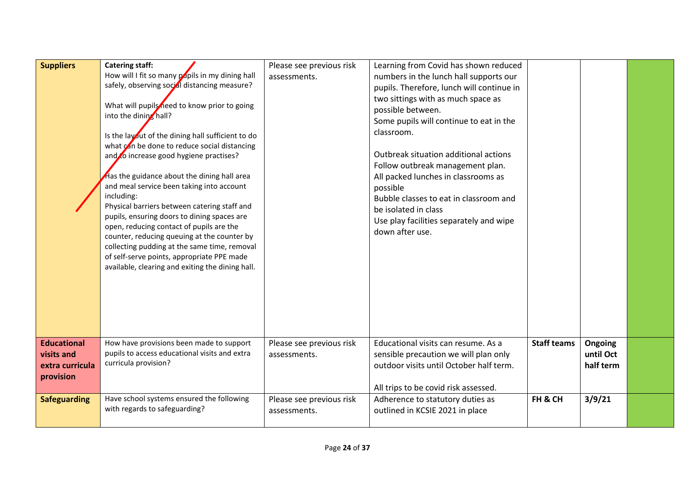| <b>Suppliers</b>                                                 | <b>Catering staff:</b><br>How will I fit so many papils in my dining hall<br>safely, observing social distancing measure?<br>What will pupils need to know prior to going<br>into the dining hall?<br>Is the layout of the dining hall sufficient to do<br>what can be done to reduce social distancing<br>and to increase good hygiene practises?<br>Has the guidance about the dining hall area<br>and meal service been taking into account<br>including:<br>Physical barriers between catering staff and<br>pupils, ensuring doors to dining spaces are<br>open, reducing contact of pupils are the<br>counter, reducing queuing at the counter by<br>collecting pudding at the same time, removal<br>of self-serve points, appropriate PPE made<br>available, clearing and exiting the dining hall. | Please see previous risk<br>assessments. | Learning from Covid has shown reduced<br>numbers in the lunch hall supports our<br>pupils. Therefore, lunch will continue in<br>two sittings with as much space as<br>possible between.<br>Some pupils will continue to eat in the<br>classroom.<br>Outbreak situation additional actions<br>Follow outbreak management plan.<br>All packed lunches in classrooms as<br>possible<br>Bubble classes to eat in classroom and<br>be isolated in class<br>Use play facilities separately and wipe<br>down after use. |                    |                                   |  |
|------------------------------------------------------------------|----------------------------------------------------------------------------------------------------------------------------------------------------------------------------------------------------------------------------------------------------------------------------------------------------------------------------------------------------------------------------------------------------------------------------------------------------------------------------------------------------------------------------------------------------------------------------------------------------------------------------------------------------------------------------------------------------------------------------------------------------------------------------------------------------------|------------------------------------------|------------------------------------------------------------------------------------------------------------------------------------------------------------------------------------------------------------------------------------------------------------------------------------------------------------------------------------------------------------------------------------------------------------------------------------------------------------------------------------------------------------------|--------------------|-----------------------------------|--|
| <b>Educational</b><br>visits and<br>extra curricula<br>provision | How have provisions been made to support<br>pupils to access educational visits and extra<br>curricula provision?                                                                                                                                                                                                                                                                                                                                                                                                                                                                                                                                                                                                                                                                                        | Please see previous risk<br>assessments. | Educational visits can resume. As a<br>sensible precaution we will plan only<br>outdoor visits until October half term.<br>All trips to be covid risk assessed.                                                                                                                                                                                                                                                                                                                                                  | <b>Staff teams</b> | Ongoing<br>until Oct<br>half term |  |
| <b>Safeguarding</b>                                              | Have school systems ensured the following<br>with regards to safeguarding?                                                                                                                                                                                                                                                                                                                                                                                                                                                                                                                                                                                                                                                                                                                               | Please see previous risk<br>assessments. | Adherence to statutory duties as<br>outlined in KCSIE 2021 in place                                                                                                                                                                                                                                                                                                                                                                                                                                              | FH & CH            | 3/9/21                            |  |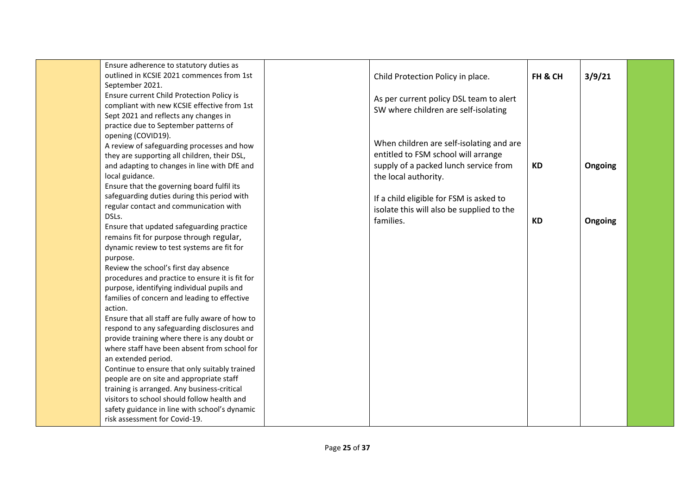| Ensure adherence to statutory duties as<br>outlined in KCSIE 2021 commences from 1st<br>September 2021.<br>Ensure current Child Protection Policy is<br>compliant with new KCSIE effective from 1st<br>Sept 2021 and reflects any changes in<br>practice due to September patterns of<br>opening (COVID19).<br>A review of safeguarding processes and how                                                                                                                                                                                                                                                                                                                                                                                                                                                                                                           | Child Protection Policy in place.<br>As per current policy DSL team to alert<br>SW where children are self-isolating<br>When children are self-isolating and are<br>entitled to FSM school will arrange | FH & CH   | 3/9/21  |  |
|---------------------------------------------------------------------------------------------------------------------------------------------------------------------------------------------------------------------------------------------------------------------------------------------------------------------------------------------------------------------------------------------------------------------------------------------------------------------------------------------------------------------------------------------------------------------------------------------------------------------------------------------------------------------------------------------------------------------------------------------------------------------------------------------------------------------------------------------------------------------|---------------------------------------------------------------------------------------------------------------------------------------------------------------------------------------------------------|-----------|---------|--|
| they are supporting all children, their DSL,<br>and adapting to changes in line with DfE and<br>local guidance.<br>Ensure that the governing board fulfil its<br>safeguarding duties during this period with<br>regular contact and communication with                                                                                                                                                                                                                                                                                                                                                                                                                                                                                                                                                                                                              | supply of a packed lunch service from<br>the local authority.<br>If a child eligible for FSM is asked to<br>isolate this will also be supplied to the                                                   | <b>KD</b> | Ongoing |  |
| DSLs.<br>Ensure that updated safeguarding practice<br>remains fit for purpose through regular,<br>dynamic review to test systems are fit for<br>purpose.<br>Review the school's first day absence<br>procedures and practice to ensure it is fit for<br>purpose, identifying individual pupils and<br>families of concern and leading to effective<br>action.<br>Ensure that all staff are fully aware of how to<br>respond to any safeguarding disclosures and<br>provide training where there is any doubt or<br>where staff have been absent from school for<br>an extended period.<br>Continue to ensure that only suitably trained<br>people are on site and appropriate staff<br>training is arranged. Any business-critical<br>visitors to school should follow health and<br>safety guidance in line with school's dynamic<br>risk assessment for Covid-19. | families.                                                                                                                                                                                               | <b>KD</b> | Ongoing |  |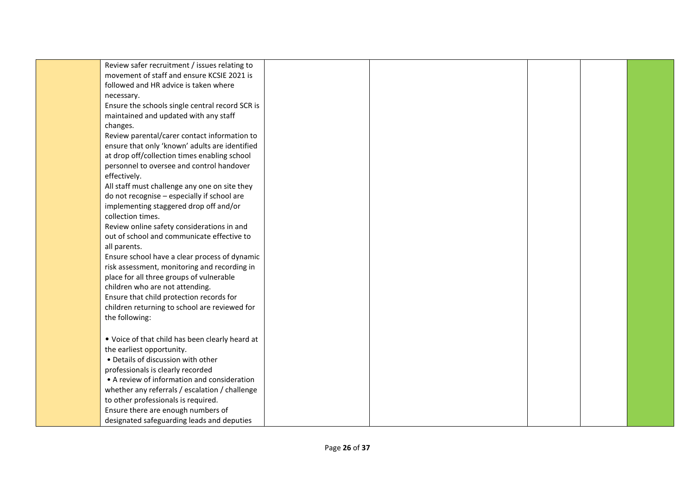| Review safer recruitment / issues relating to   |  |  |  |
|-------------------------------------------------|--|--|--|
| movement of staff and ensure KCSIE 2021 is      |  |  |  |
| followed and HR advice is taken where           |  |  |  |
|                                                 |  |  |  |
| necessary.                                      |  |  |  |
| Ensure the schools single central record SCR is |  |  |  |
| maintained and updated with any staff           |  |  |  |
| changes.                                        |  |  |  |
| Review parental/carer contact information to    |  |  |  |
| ensure that only 'known' adults are identified  |  |  |  |
| at drop off/collection times enabling school    |  |  |  |
| personnel to oversee and control handover       |  |  |  |
| effectively.                                    |  |  |  |
| All staff must challenge any one on site they   |  |  |  |
| do not recognise - especially if school are     |  |  |  |
| implementing staggered drop off and/or          |  |  |  |
| collection times.                               |  |  |  |
| Review online safety considerations in and      |  |  |  |
| out of school and communicate effective to      |  |  |  |
| all parents.                                    |  |  |  |
| Ensure school have a clear process of dynamic   |  |  |  |
| risk assessment, monitoring and recording in    |  |  |  |
| place for all three groups of vulnerable        |  |  |  |
| children who are not attending.                 |  |  |  |
| Ensure that child protection records for        |  |  |  |
| children returning to school are reviewed for   |  |  |  |
| the following:                                  |  |  |  |
|                                                 |  |  |  |
| . Voice of that child has been clearly heard at |  |  |  |
| the earliest opportunity.                       |  |  |  |
| • Details of discussion with other              |  |  |  |
| professionals is clearly recorded               |  |  |  |
| • A review of information and consideration     |  |  |  |
| whether any referrals / escalation / challenge  |  |  |  |
| to other professionals is required.             |  |  |  |
| Ensure there are enough numbers of              |  |  |  |
|                                                 |  |  |  |
| designated safeguarding leads and deputies      |  |  |  |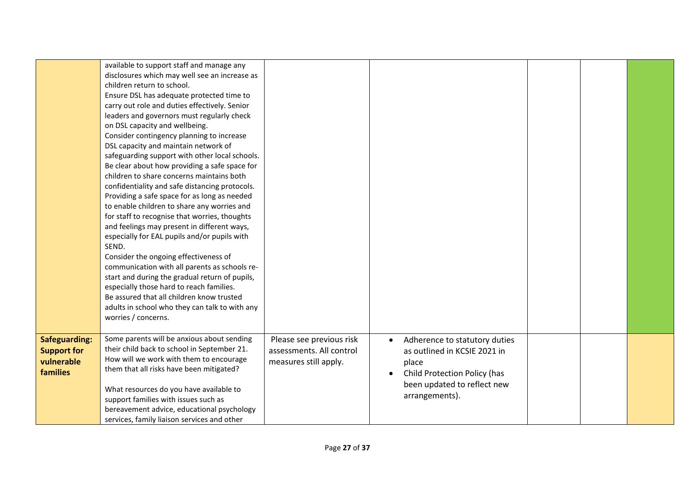|                      | available to support staff and manage any                                   |                          |                               |  |  |
|----------------------|-----------------------------------------------------------------------------|--------------------------|-------------------------------|--|--|
|                      |                                                                             |                          |                               |  |  |
|                      | disclosures which may well see an increase as<br>children return to school. |                          |                               |  |  |
|                      | Ensure DSL has adequate protected time to                                   |                          |                               |  |  |
|                      | carry out role and duties effectively. Senior                               |                          |                               |  |  |
|                      | leaders and governors must regularly check                                  |                          |                               |  |  |
|                      | on DSL capacity and wellbeing.                                              |                          |                               |  |  |
|                      | Consider contingency planning to increase                                   |                          |                               |  |  |
|                      | DSL capacity and maintain network of                                        |                          |                               |  |  |
|                      | safeguarding support with other local schools.                              |                          |                               |  |  |
|                      | Be clear about how providing a safe space for                               |                          |                               |  |  |
|                      | children to share concerns maintains both                                   |                          |                               |  |  |
|                      | confidentiality and safe distancing protocols.                              |                          |                               |  |  |
|                      | Providing a safe space for as long as needed                                |                          |                               |  |  |
|                      | to enable children to share any worries and                                 |                          |                               |  |  |
|                      | for staff to recognise that worries, thoughts                               |                          |                               |  |  |
|                      | and feelings may present in different ways,                                 |                          |                               |  |  |
|                      | especially for EAL pupils and/or pupils with                                |                          |                               |  |  |
|                      | SEND.                                                                       |                          |                               |  |  |
|                      | Consider the ongoing effectiveness of                                       |                          |                               |  |  |
|                      | communication with all parents as schools re-                               |                          |                               |  |  |
|                      | start and during the gradual return of pupils,                              |                          |                               |  |  |
|                      | especially those hard to reach families.                                    |                          |                               |  |  |
|                      | Be assured that all children know trusted                                   |                          |                               |  |  |
|                      | adults in school who they can talk to with any                              |                          |                               |  |  |
|                      | worries / concerns.                                                         |                          |                               |  |  |
|                      |                                                                             |                          |                               |  |  |
| <b>Safeguarding:</b> | Some parents will be anxious about sending                                  | Please see previous risk | Adherence to statutory duties |  |  |
| <b>Support for</b>   | their child back to school in September 21.                                 | assessments. All control | as outlined in KCSIE 2021 in  |  |  |
| vulnerable           | How will we work with them to encourage                                     | measures still apply.    | place                         |  |  |
| families             | them that all risks have been mitigated?                                    |                          | Child Protection Policy (has  |  |  |
|                      |                                                                             |                          | been updated to reflect new   |  |  |
|                      | What resources do you have available to                                     |                          | arrangements).                |  |  |
|                      | support families with issues such as                                        |                          |                               |  |  |
|                      | bereavement advice, educational psychology                                  |                          |                               |  |  |
|                      | services, family liaison services and other                                 |                          |                               |  |  |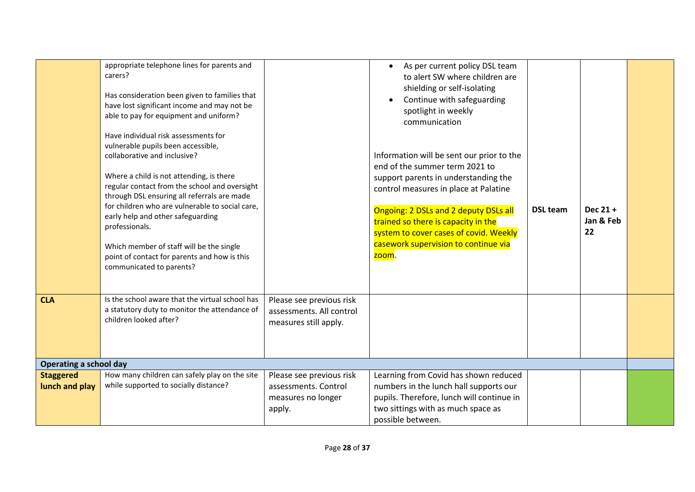|                                    | appropriate telephone lines for parents and<br>carers?<br>Has consideration been given to families that<br>have lost significant income and may not be<br>able to pay for equipment and uniform?<br>Have individual risk assessments for<br>vulnerable pupils been accessible,<br>collaborative and inclusive?<br>Where a child is not attending, is there<br>regular contact from the school and oversight<br>through DSL ensuring all referrals are made<br>for children who are vulnerable to social care,<br>early help and other safeguarding<br>professionals.<br>Which member of staff will be the single<br>point of contact for parents and how is this<br>communicated to parents? |                                                                                  | As per current policy DSL team<br>to alert SW where children are<br>shielding or self-isolating<br>Continue with safeguarding<br>spotlight in weekly<br>communication<br>Information will be sent our prior to the<br>end of the summer term 2021 to<br>support parents in understanding the<br>control measures in place at Palatine<br>Ongoing: 2 DSLs and 2 deputy DSLs all<br>trained so there is capacity in the<br>system to cover cases of covid. Weekly<br>casework supervision to continue via<br>zoom. | <b>DSL team</b> | Dec 21 +<br>Jan & Feb<br>22 |  |
|------------------------------------|----------------------------------------------------------------------------------------------------------------------------------------------------------------------------------------------------------------------------------------------------------------------------------------------------------------------------------------------------------------------------------------------------------------------------------------------------------------------------------------------------------------------------------------------------------------------------------------------------------------------------------------------------------------------------------------------|----------------------------------------------------------------------------------|------------------------------------------------------------------------------------------------------------------------------------------------------------------------------------------------------------------------------------------------------------------------------------------------------------------------------------------------------------------------------------------------------------------------------------------------------------------------------------------------------------------|-----------------|-----------------------------|--|
| <b>CLA</b>                         | Is the school aware that the virtual school has<br>a statutory duty to monitor the attendance of<br>children looked after?                                                                                                                                                                                                                                                                                                                                                                                                                                                                                                                                                                   | Please see previous risk<br>assessments. All control<br>measures still apply.    |                                                                                                                                                                                                                                                                                                                                                                                                                                                                                                                  |                 |                             |  |
| <b>Operating a school day</b>      |                                                                                                                                                                                                                                                                                                                                                                                                                                                                                                                                                                                                                                                                                              |                                                                                  |                                                                                                                                                                                                                                                                                                                                                                                                                                                                                                                  |                 |                             |  |
| <b>Staggered</b><br>lunch and play | How many children can safely play on the site<br>while supported to socially distance?                                                                                                                                                                                                                                                                                                                                                                                                                                                                                                                                                                                                       | Please see previous risk<br>assessments. Control<br>measures no longer<br>apply. | Learning from Covid has shown reduced<br>numbers in the lunch hall supports our<br>pupils. Therefore, lunch will continue in<br>two sittings with as much space as<br>possible between.                                                                                                                                                                                                                                                                                                                          |                 |                             |  |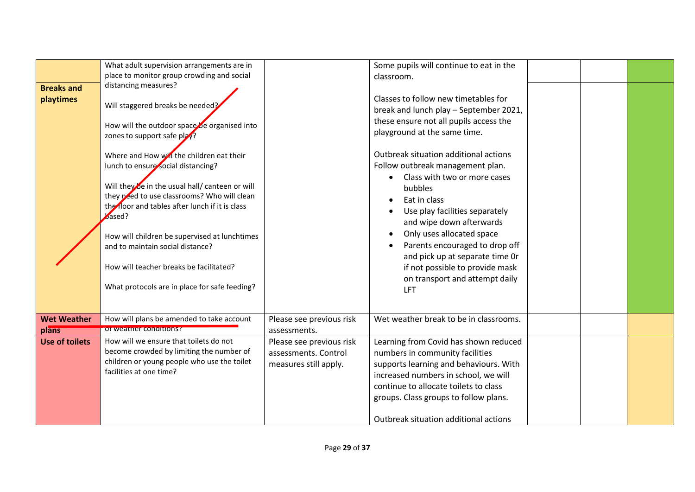| <b>Breaks and</b><br>playtimes | What adult supervision arrangements are in<br>place to monitor group crowding and social<br>distancing measures?<br>Will staggered breaks be needed?<br>How will the outdoor space be organised into<br>zones to support safe play?<br>Where and How will the children eat their<br>lunch to ensure social distancing?<br>Will they be in the usual hall/ canteen or will<br>they peed to use classrooms? Who will clean<br>the floor and tables after lunch if it is class<br>based?<br>How will children be supervised at lunchtimes<br>and to maintain social distance?<br>How will teacher breaks be facilitated?<br>What protocols are in place for safe feeding? |                                                                           | Some pupils will continue to eat in the<br>classroom.<br>Classes to follow new timetables for<br>break and lunch play - September 2021,<br>these ensure not all pupils access the<br>playground at the same time.<br>Outbreak situation additional actions<br>Follow outbreak management plan.<br>Class with two or more cases<br>bubbles<br>Eat in class<br>Use play facilities separately<br>and wipe down afterwards<br>Only uses allocated space<br>Parents encouraged to drop off<br>and pick up at separate time Or<br>if not possible to provide mask<br>on transport and attempt daily |  |  |
|--------------------------------|------------------------------------------------------------------------------------------------------------------------------------------------------------------------------------------------------------------------------------------------------------------------------------------------------------------------------------------------------------------------------------------------------------------------------------------------------------------------------------------------------------------------------------------------------------------------------------------------------------------------------------------------------------------------|---------------------------------------------------------------------------|------------------------------------------------------------------------------------------------------------------------------------------------------------------------------------------------------------------------------------------------------------------------------------------------------------------------------------------------------------------------------------------------------------------------------------------------------------------------------------------------------------------------------------------------------------------------------------------------|--|--|
|                                |                                                                                                                                                                                                                                                                                                                                                                                                                                                                                                                                                                                                                                                                        |                                                                           | <b>LFT</b>                                                                                                                                                                                                                                                                                                                                                                                                                                                                                                                                                                                     |  |  |
| <b>Wet Weather</b><br>plans    | How will plans be amended to take account<br>or weather conditions?                                                                                                                                                                                                                                                                                                                                                                                                                                                                                                                                                                                                    | Please see previous risk<br>assessments.                                  | Wet weather break to be in classrooms.                                                                                                                                                                                                                                                                                                                                                                                                                                                                                                                                                         |  |  |
| <b>Use of toilets</b>          | How will we ensure that toilets do not<br>become crowded by limiting the number of<br>children or young people who use the toilet<br>facilities at one time?                                                                                                                                                                                                                                                                                                                                                                                                                                                                                                           | Please see previous risk<br>assessments. Control<br>measures still apply. | Learning from Covid has shown reduced<br>numbers in community facilities<br>supports learning and behaviours. With<br>increased numbers in school, we will<br>continue to allocate toilets to class<br>groups. Class groups to follow plans.<br>Outbreak situation additional actions                                                                                                                                                                                                                                                                                                          |  |  |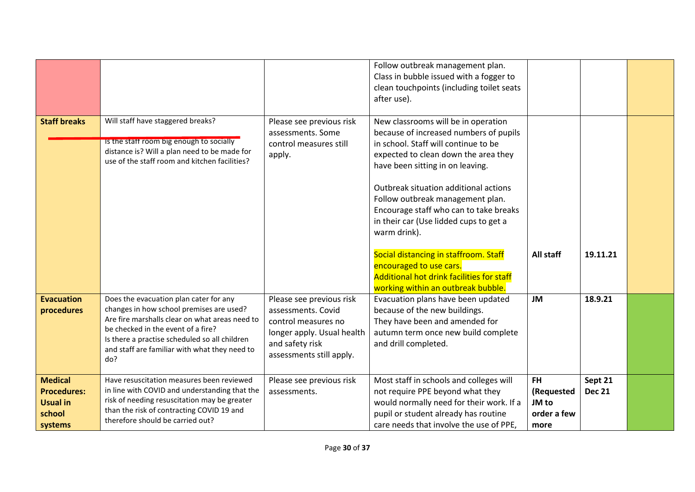|                                                                              |                                                                                                                                                                                                                                                                                     |                                                                                                                                                    | Follow outbreak management plan.<br>Class in bubble issued with a fogger to<br>clean touchpoints (including toilet seats<br>after use).                                                                                                                                                                                                                                                                                                                |                                                         |                          |  |
|------------------------------------------------------------------------------|-------------------------------------------------------------------------------------------------------------------------------------------------------------------------------------------------------------------------------------------------------------------------------------|----------------------------------------------------------------------------------------------------------------------------------------------------|--------------------------------------------------------------------------------------------------------------------------------------------------------------------------------------------------------------------------------------------------------------------------------------------------------------------------------------------------------------------------------------------------------------------------------------------------------|---------------------------------------------------------|--------------------------|--|
| <b>Staff breaks</b>                                                          | Will staff have staggered breaks?<br>Is the staff room big enough to socially<br>distance is? Will a plan need to be made for<br>use of the staff room and kitchen facilities?                                                                                                      | Please see previous risk<br>assessments. Some<br>control measures still<br>apply.                                                                  | New classrooms will be in operation<br>because of increased numbers of pupils<br>in school. Staff will continue to be<br>expected to clean down the area they<br>have been sitting in on leaving.<br>Outbreak situation additional actions<br>Follow outbreak management plan.<br>Encourage staff who can to take breaks<br>in their car (Use lidded cups to get a<br>warm drink).<br>Social distancing in staffroom. Staff<br>encouraged to use cars. | All staff                                               | 19.11.21                 |  |
|                                                                              |                                                                                                                                                                                                                                                                                     |                                                                                                                                                    | Additional hot drink facilities for staff<br>working within an outbreak bubble.                                                                                                                                                                                                                                                                                                                                                                        |                                                         |                          |  |
| <b>Evacuation</b><br>procedures                                              | Does the evacuation plan cater for any<br>changes in how school premises are used?<br>Are fire marshalls clear on what areas need to<br>be checked in the event of a fire?<br>Is there a practise scheduled so all children<br>and staff are familiar with what they need to<br>do? | Please see previous risk<br>assessments. Covid<br>control measures no<br>longer apply. Usual health<br>and safety risk<br>assessments still apply. | Evacuation plans have been updated<br>because of the new buildings.<br>They have been and amended for<br>autumn term once new build complete<br>and drill completed.                                                                                                                                                                                                                                                                                   | <b>JM</b>                                               | 18.9.21                  |  |
| <b>Medical</b><br><b>Procedures:</b><br><b>Usual in</b><br>school<br>systems | Have resuscitation measures been reviewed<br>in line with COVID and understanding that the<br>risk of needing resuscitation may be greater<br>than the risk of contracting COVID 19 and<br>therefore should be carried out?                                                         | Please see previous risk<br>assessments.                                                                                                           | Most staff in schools and colleges will<br>not require PPE beyond what they<br>would normally need for their work. If a<br>pupil or student already has routine<br>care needs that involve the use of PPE,                                                                                                                                                                                                                                             | <b>FH</b><br>(Requested<br>JM to<br>order a few<br>more | Sept 21<br><b>Dec 21</b> |  |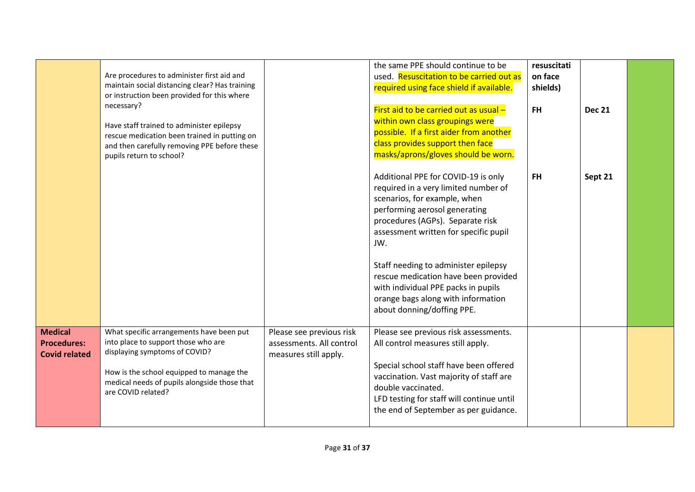|                                                              | Are procedures to administer first aid and<br>maintain social distancing clear? Has training<br>or instruction been provided for this where<br>necessary?<br>Have staff trained to administer epilepsy<br>rescue medication been trained in putting on<br>and then carefully removing PPE before these<br>pupils return to school? |                                                                               | the same PPE should continue to be<br>used. Resuscitation to be carried out as<br>required using face shield if available.<br>First aid to be carried out as usual -<br>within own class groupings were<br>possible. If a first aider from another<br>class provides support then face<br>masks/aprons/gloves should be worn. | resuscitati<br>on face<br>shields)<br><b>FH</b> | <b>Dec 21</b> |  |
|--------------------------------------------------------------|------------------------------------------------------------------------------------------------------------------------------------------------------------------------------------------------------------------------------------------------------------------------------------------------------------------------------------|-------------------------------------------------------------------------------|-------------------------------------------------------------------------------------------------------------------------------------------------------------------------------------------------------------------------------------------------------------------------------------------------------------------------------|-------------------------------------------------|---------------|--|
|                                                              |                                                                                                                                                                                                                                                                                                                                    |                                                                               | Additional PPE for COVID-19 is only<br>required in a very limited number of<br>scenarios, for example, when<br>performing aerosol generating<br>procedures (AGPs). Separate risk<br>assessment written for specific pupil<br>JW.                                                                                              | <b>FH</b>                                       | Sept 21       |  |
|                                                              |                                                                                                                                                                                                                                                                                                                                    |                                                                               | Staff needing to administer epilepsy<br>rescue medication have been provided<br>with individual PPE packs in pupils<br>orange bags along with information<br>about donning/doffing PPE.                                                                                                                                       |                                                 |               |  |
| <b>Medical</b><br><b>Procedures:</b><br><b>Covid related</b> | What specific arrangements have been put<br>into place to support those who are<br>displaying symptoms of COVID?<br>How is the school equipped to manage the<br>medical needs of pupils alongside those that<br>are COVID related?                                                                                                 | Please see previous risk<br>assessments. All control<br>measures still apply. | Please see previous risk assessments.<br>All control measures still apply.<br>Special school staff have been offered<br>vaccination. Vast majority of staff are<br>double vaccinated.<br>LFD testing for staff will continue until<br>the end of September as per guidance.                                                   |                                                 |               |  |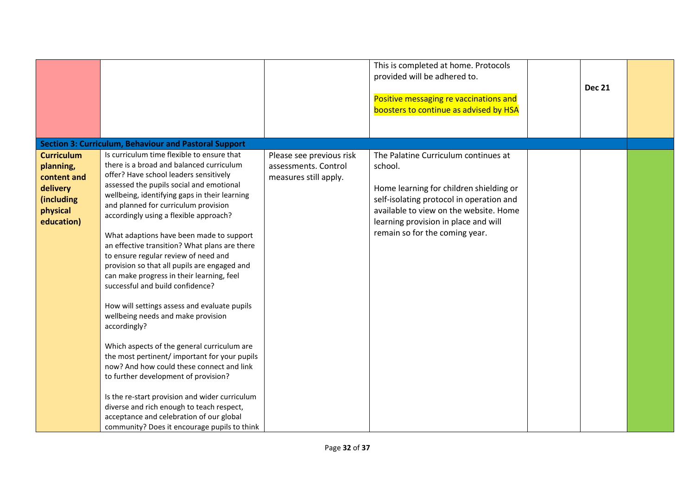|                                                                                                   |                                                                                                                                                                                                                                                                                                                                                                                                                                                                                                                                                                                                                                                                                                                                                                                                                                                                                                                                                                                                                                                                             |                                                                           | This is completed at home. Protocols<br>provided will be adhered to.<br>Positive messaging re vaccinations and<br>boosters to continue as advised by HSA                                                                                                   | <b>Dec 21</b> |  |
|---------------------------------------------------------------------------------------------------|-----------------------------------------------------------------------------------------------------------------------------------------------------------------------------------------------------------------------------------------------------------------------------------------------------------------------------------------------------------------------------------------------------------------------------------------------------------------------------------------------------------------------------------------------------------------------------------------------------------------------------------------------------------------------------------------------------------------------------------------------------------------------------------------------------------------------------------------------------------------------------------------------------------------------------------------------------------------------------------------------------------------------------------------------------------------------------|---------------------------------------------------------------------------|------------------------------------------------------------------------------------------------------------------------------------------------------------------------------------------------------------------------------------------------------------|---------------|--|
|                                                                                                   | <b>Section 3: Curriculum, Behaviour and Pastoral Support</b>                                                                                                                                                                                                                                                                                                                                                                                                                                                                                                                                                                                                                                                                                                                                                                                                                                                                                                                                                                                                                |                                                                           |                                                                                                                                                                                                                                                            |               |  |
| <b>Curriculum</b><br>planning,<br>content and<br>delivery<br>(including<br>physical<br>education) | Is curriculum time flexible to ensure that<br>there is a broad and balanced curriculum<br>offer? Have school leaders sensitively<br>assessed the pupils social and emotional<br>wellbeing, identifying gaps in their learning<br>and planned for curriculum provision<br>accordingly using a flexible approach?<br>What adaptions have been made to support<br>an effective transition? What plans are there<br>to ensure regular review of need and<br>provision so that all pupils are engaged and<br>can make progress in their learning, feel<br>successful and build confidence?<br>How will settings assess and evaluate pupils<br>wellbeing needs and make provision<br>accordingly?<br>Which aspects of the general curriculum are<br>the most pertinent/ important for your pupils<br>now? And how could these connect and link<br>to further development of provision?<br>Is the re-start provision and wider curriculum<br>diverse and rich enough to teach respect,<br>acceptance and celebration of our global<br>community? Does it encourage pupils to think | Please see previous risk<br>assessments. Control<br>measures still apply. | The Palatine Curriculum continues at<br>school.<br>Home learning for children shielding or<br>self-isolating protocol in operation and<br>available to view on the website. Home<br>learning provision in place and will<br>remain so for the coming year. |               |  |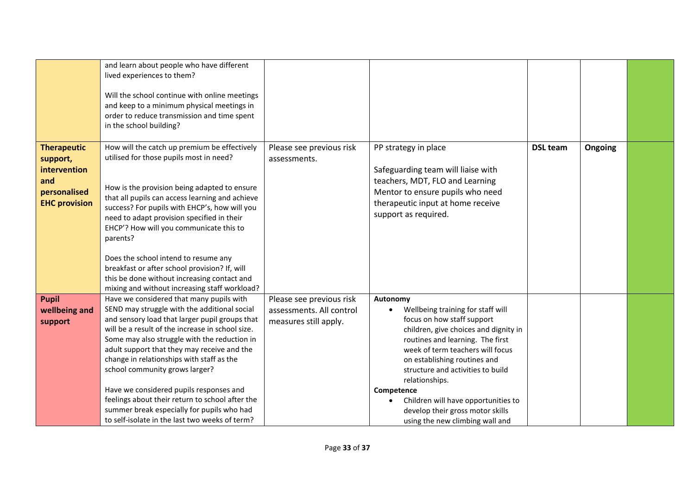|                                                                                               | and learn about people who have different<br>lived experiences to them?<br>Will the school continue with online meetings<br>and keep to a minimum physical meetings in<br>order to reduce transmission and time spent<br>in the school building?                                                                                                                                                                                                                                                                                                                                                                            |                                                                               |                                                                                                                                                                                                                                                                                                                                                                                                                 |                 |         |  |
|-----------------------------------------------------------------------------------------------|-----------------------------------------------------------------------------------------------------------------------------------------------------------------------------------------------------------------------------------------------------------------------------------------------------------------------------------------------------------------------------------------------------------------------------------------------------------------------------------------------------------------------------------------------------------------------------------------------------------------------------|-------------------------------------------------------------------------------|-----------------------------------------------------------------------------------------------------------------------------------------------------------------------------------------------------------------------------------------------------------------------------------------------------------------------------------------------------------------------------------------------------------------|-----------------|---------|--|
| <b>Therapeutic</b><br>support,<br>intervention<br>and<br>personalised<br><b>EHC provision</b> | How will the catch up premium be effectively<br>utilised for those pupils most in need?<br>How is the provision being adapted to ensure<br>that all pupils can access learning and achieve<br>success? For pupils with EHCP's, how will you<br>need to adapt provision specified in their<br>EHCP'? How will you communicate this to<br>parents?<br>Does the school intend to resume any<br>breakfast or after school provision? If, will<br>this be done without increasing contact and                                                                                                                                    | Please see previous risk<br>assessments.                                      | PP strategy in place<br>Safeguarding team will liaise with<br>teachers, MDT, FLO and Learning<br>Mentor to ensure pupils who need<br>therapeutic input at home receive<br>support as required.                                                                                                                                                                                                                  | <b>DSL team</b> | Ongoing |  |
| <b>Pupil</b><br>wellbeing and<br>support                                                      | mixing and without increasing staff workload?<br>Have we considered that many pupils with<br>SEND may struggle with the additional social<br>and sensory load that larger pupil groups that<br>will be a result of the increase in school size.<br>Some may also struggle with the reduction in<br>adult support that they may receive and the<br>change in relationships with staff as the<br>school community grows larger?<br>Have we considered pupils responses and<br>feelings about their return to school after the<br>summer break especially for pupils who had<br>to self-isolate in the last two weeks of term? | Please see previous risk<br>assessments. All control<br>measures still apply. | Autonomy<br>Wellbeing training for staff will<br>focus on how staff support<br>children, give choices and dignity in<br>routines and learning. The first<br>week of term teachers will focus<br>on establishing routines and<br>structure and activities to build<br>relationships.<br>Competence<br>Children will have opportunities to<br>develop their gross motor skills<br>using the new climbing wall and |                 |         |  |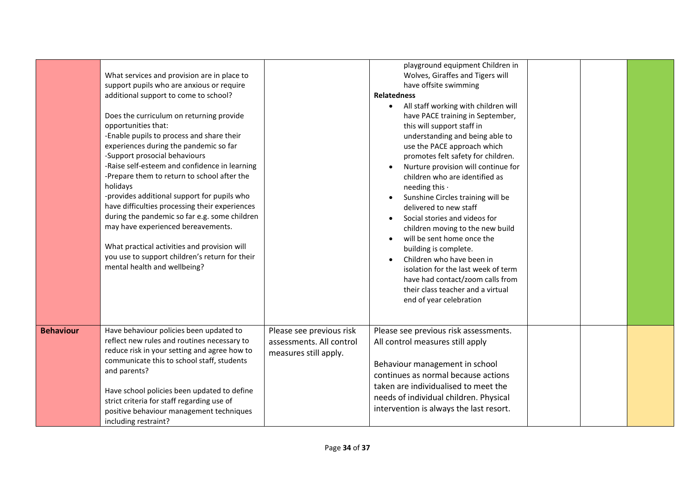| <b>Behaviour</b> | additional support to come to school?<br>Does the curriculum on returning provide<br>opportunities that:<br>-Enable pupils to process and share their<br>experiences during the pandemic so far<br>-Support prosocial behaviours<br>-Raise self-esteem and confidence in learning<br>-Prepare them to return to school after the<br>holidays<br>-provides additional support for pupils who<br>have difficulties processing their experiences<br>during the pandemic so far e.g. some children<br>may have experienced bereavements.<br>What practical activities and provision will<br>you use to support children's return for their<br>mental health and wellbeing?<br>Have behaviour policies been updated to<br>reflect new rules and routines necessary to<br>reduce risk in your setting and agree how to | Please see previous risk<br>assessments. All control<br>measures still apply. | <b>Relatedness</b><br>All staff working with children will<br>$\bullet$<br>have PACE training in September,<br>this will support staff in<br>understanding and being able to<br>use the PACE approach which<br>promotes felt safety for children.<br>Nurture provision will continue for<br>children who are identified as<br>needing this .<br>Sunshine Circles training will be<br>$\bullet$<br>delivered to new staff<br>Social stories and videos for<br>$\bullet$<br>children moving to the new build<br>will be sent home once the<br>$\bullet$<br>building is complete.<br>Children who have been in<br>isolation for the last week of term<br>have had contact/zoom calls from<br>their class teacher and a virtual<br>end of year celebration<br>Please see previous risk assessments.<br>All control measures still apply |  |  |
|------------------|------------------------------------------------------------------------------------------------------------------------------------------------------------------------------------------------------------------------------------------------------------------------------------------------------------------------------------------------------------------------------------------------------------------------------------------------------------------------------------------------------------------------------------------------------------------------------------------------------------------------------------------------------------------------------------------------------------------------------------------------------------------------------------------------------------------|-------------------------------------------------------------------------------|-------------------------------------------------------------------------------------------------------------------------------------------------------------------------------------------------------------------------------------------------------------------------------------------------------------------------------------------------------------------------------------------------------------------------------------------------------------------------------------------------------------------------------------------------------------------------------------------------------------------------------------------------------------------------------------------------------------------------------------------------------------------------------------------------------------------------------------|--|--|
|                  | communicate this to school staff, students<br>and parents?<br>Have school policies been updated to define<br>strict criteria for staff regarding use of<br>positive behaviour management techniques<br>including restraint?                                                                                                                                                                                                                                                                                                                                                                                                                                                                                                                                                                                      |                                                                               | Behaviour management in school<br>continues as normal because actions<br>taken are individualised to meet the<br>needs of individual children. Physical<br>intervention is always the last resort.                                                                                                                                                                                                                                                                                                                                                                                                                                                                                                                                                                                                                                  |  |  |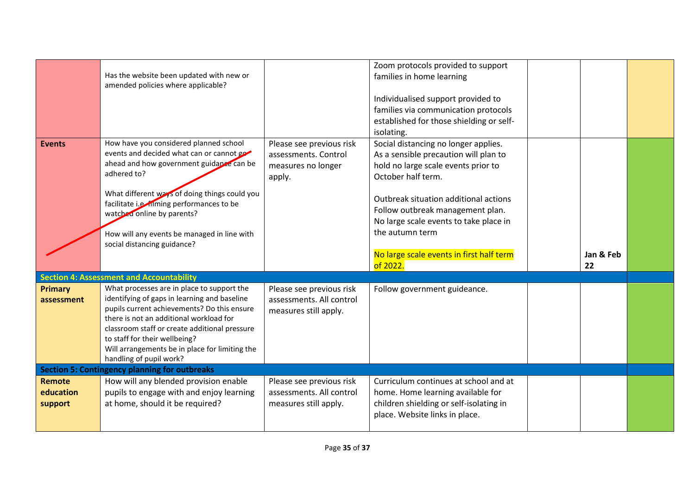| <b>Events</b>                  | Has the website been updated with new or<br>amended policies where applicable?<br>How have you considered planned school<br>events and decided what can or cannot go<br>ahead and how government guidance can be<br>adhered to?<br>What different ways of doing things could you<br>facilitate i.e. filming performances to be<br>watched online by parents?<br>How will any events be managed in line with<br>social distancing guidance? | Please see previous risk<br>assessments. Control<br>measures no longer<br>apply. | Zoom protocols provided to support<br>families in home learning<br>Individualised support provided to<br>families via communication protocols<br>established for those shielding or self-<br>isolating.<br>Social distancing no longer applies.<br>As a sensible precaution will plan to<br>hold no large scale events prior to<br>October half term.<br>Outbreak situation additional actions<br>Follow outbreak management plan.<br>No large scale events to take place in<br>the autumn term<br>No large scale events in first half term | Jan & Feb |  |
|--------------------------------|--------------------------------------------------------------------------------------------------------------------------------------------------------------------------------------------------------------------------------------------------------------------------------------------------------------------------------------------------------------------------------------------------------------------------------------------|----------------------------------------------------------------------------------|---------------------------------------------------------------------------------------------------------------------------------------------------------------------------------------------------------------------------------------------------------------------------------------------------------------------------------------------------------------------------------------------------------------------------------------------------------------------------------------------------------------------------------------------|-----------|--|
|                                |                                                                                                                                                                                                                                                                                                                                                                                                                                            |                                                                                  | of 2022.                                                                                                                                                                                                                                                                                                                                                                                                                                                                                                                                    | 22        |  |
|                                | <b>Section 4: Assessment and Accountability</b><br>What processes are in place to support the                                                                                                                                                                                                                                                                                                                                              |                                                                                  |                                                                                                                                                                                                                                                                                                                                                                                                                                                                                                                                             |           |  |
| <b>Primary</b><br>assessment   | identifying of gaps in learning and baseline<br>pupils current achievements? Do this ensure<br>there is not an additional workload for<br>classroom staff or create additional pressure<br>to staff for their wellbeing?<br>Will arrangements be in place for limiting the<br>handling of pupil work?                                                                                                                                      | Please see previous risk<br>assessments. All control<br>measures still apply.    | Follow government guideance.                                                                                                                                                                                                                                                                                                                                                                                                                                                                                                                |           |  |
|                                | <b>Section 5: Contingency planning for outbreaks</b>                                                                                                                                                                                                                                                                                                                                                                                       |                                                                                  |                                                                                                                                                                                                                                                                                                                                                                                                                                                                                                                                             |           |  |
| Remote<br>education<br>support | How will any blended provision enable<br>pupils to engage with and enjoy learning<br>at home, should it be required?                                                                                                                                                                                                                                                                                                                       | Please see previous risk<br>assessments. All control<br>measures still apply.    | Curriculum continues at school and at<br>home. Home learning available for<br>children shielding or self-isolating in<br>place. Website links in place.                                                                                                                                                                                                                                                                                                                                                                                     |           |  |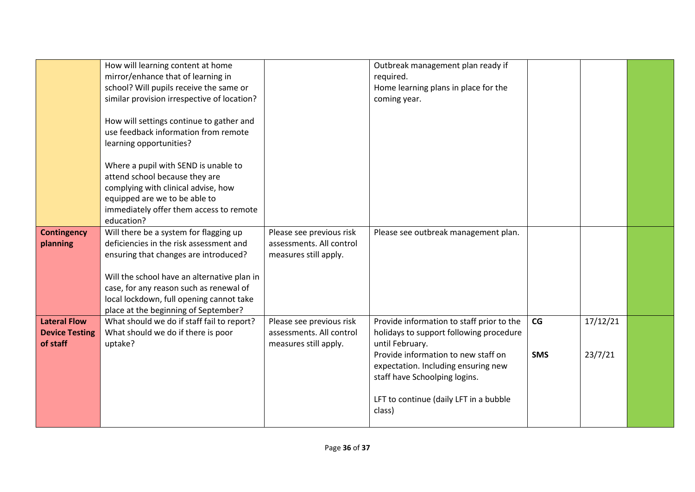|                                | How will learning content at home<br>mirror/enhance that of learning in<br>school? Will pupils receive the same or |                                                      | Outbreak management plan ready if<br>required.<br>Home learning plans in place for the |            |          |  |
|--------------------------------|--------------------------------------------------------------------------------------------------------------------|------------------------------------------------------|----------------------------------------------------------------------------------------|------------|----------|--|
|                                | similar provision irrespective of location?                                                                        |                                                      | coming year.                                                                           |            |          |  |
|                                | How will settings continue to gather and<br>use feedback information from remote                                   |                                                      |                                                                                        |            |          |  |
|                                | learning opportunities?                                                                                            |                                                      |                                                                                        |            |          |  |
|                                | Where a pupil with SEND is unable to<br>attend school because they are                                             |                                                      |                                                                                        |            |          |  |
|                                | complying with clinical advise, how                                                                                |                                                      |                                                                                        |            |          |  |
|                                | equipped are we to be able to<br>immediately offer them access to remote                                           |                                                      |                                                                                        |            |          |  |
|                                | education?                                                                                                         |                                                      |                                                                                        |            |          |  |
| <b>Contingency</b><br>planning | Will there be a system for flagging up<br>deficiencies in the risk assessment and                                  | Please see previous risk<br>assessments. All control | Please see outbreak management plan.                                                   |            |          |  |
|                                | ensuring that changes are introduced?                                                                              | measures still apply.                                |                                                                                        |            |          |  |
|                                | Will the school have an alternative plan in                                                                        |                                                      |                                                                                        |            |          |  |
|                                | case, for any reason such as renewal of                                                                            |                                                      |                                                                                        |            |          |  |
|                                | local lockdown, full opening cannot take                                                                           |                                                      |                                                                                        |            |          |  |
| <b>Lateral Flow</b>            | place at the beginning of September?<br>What should we do if staff fail to report?                                 | Please see previous risk                             | Provide information to staff prior to the                                              | CG         | 17/12/21 |  |
| <b>Device Testing</b>          | What should we do if there is poor                                                                                 | assessments. All control                             | holidays to support following procedure                                                |            |          |  |
| of staff                       | uptake?                                                                                                            | measures still apply.                                | until February.<br>Provide information to new staff on                                 | <b>SMS</b> | 23/7/21  |  |
|                                |                                                                                                                    |                                                      | expectation. Including ensuring new                                                    |            |          |  |
|                                |                                                                                                                    |                                                      | staff have Schoolping logins.                                                          |            |          |  |
|                                |                                                                                                                    |                                                      | LFT to continue (daily LFT in a bubble<br>class)                                       |            |          |  |
|                                |                                                                                                                    |                                                      |                                                                                        |            |          |  |